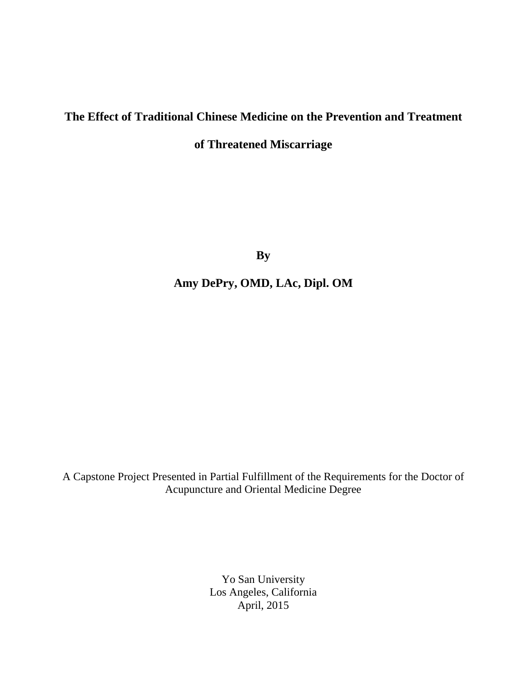# **The Effect of Traditional Chinese Medicine on the Prevention and Treatment**

## **of Threatened Miscarriage**

**By**

## **Amy DePry, OMD, LAc, Dipl. OM**

A Capstone Project Presented in Partial Fulfillment of the Requirements for the Doctor of Acupuncture and Oriental Medicine Degree

> Yo San University Los Angeles, California April, 2015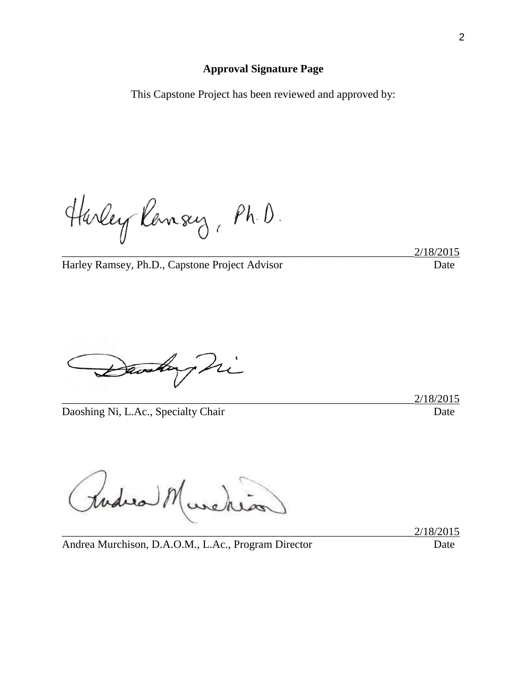### **Approval Signature Page**

This Capstone Project has been reviewed and approved by:

Harley Ransey, Ph.D.

\_\_\_\_\_\_\_\_\_\_\_\_\_\_\_\_\_\_\_\_\_\_\_\_\_\_\_\_\_\_\_\_\_\_\_\_\_\_\_\_\_\_\_\_\_\_\_\_\_\_\_\_\_\_\_\_\_\_\_\_\_\_\_2/18/2015

Harley Ramsey, Ph.D., Capstone Project Advisor Date

ri av

Daoshing Ni, L.Ac., Specialty Chair Date Date

\_\_\_\_\_\_\_\_\_\_\_\_\_\_\_\_\_\_\_\_\_\_\_\_\_\_\_\_\_\_\_\_\_\_\_\_\_\_\_\_\_\_\_\_\_\_\_\_\_\_\_\_\_\_\_\_\_\_\_\_\_\_\_2/18/2015

todies n

\_\_\_\_\_\_\_\_\_\_\_\_\_\_\_\_\_\_\_\_\_\_\_\_\_\_\_\_\_\_\_\_\_\_\_\_\_\_\_\_\_\_\_\_\_\_\_\_\_\_\_\_\_\_\_\_\_\_\_\_\_\_\_2/18/2015

Andrea Murchison, D.A.O.M., L.Ac., Program Director Date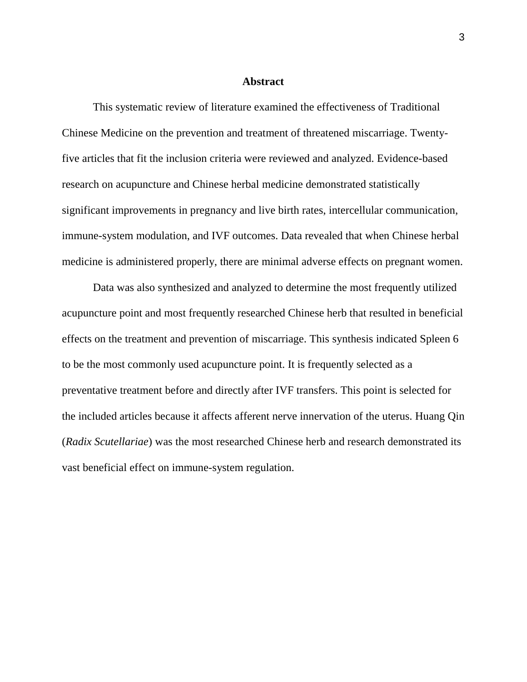#### **Abstract**

This systematic review of literature examined the effectiveness of Traditional Chinese Medicine on the prevention and treatment of threatened miscarriage. Twentyfive articles that fit the inclusion criteria were reviewed and analyzed. Evidence-based research on acupuncture and Chinese herbal medicine demonstrated statistically significant improvements in pregnancy and live birth rates, intercellular communication, immune-system modulation, and IVF outcomes. Data revealed that when Chinese herbal medicine is administered properly, there are minimal adverse effects on pregnant women.

Data was also synthesized and analyzed to determine the most frequently utilized acupuncture point and most frequently researched Chinese herb that resulted in beneficial effects on the treatment and prevention of miscarriage. This synthesis indicated Spleen 6 to be the most commonly used acupuncture point. It is frequently selected as a preventative treatment before and directly after IVF transfers. This point is selected for the included articles because it affects afferent nerve innervation of the uterus. Huang Qin (*Radix Scutellariae*) was the most researched Chinese herb and research demonstrated its vast beneficial effect on immune-system regulation.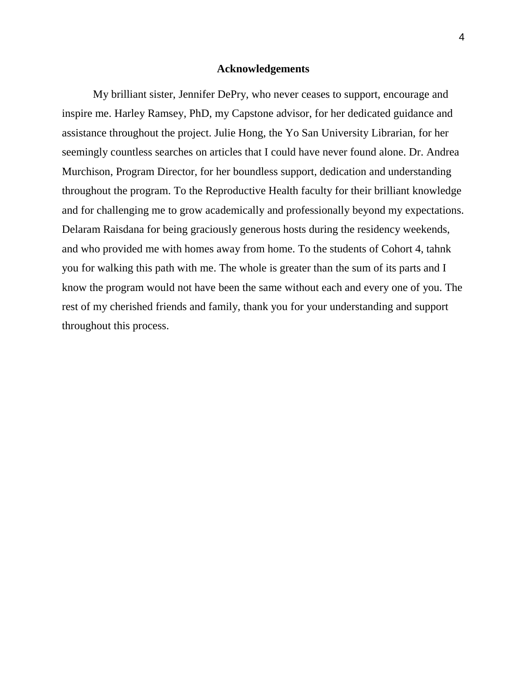### **Acknowledgements**

My brilliant sister, Jennifer DePry, who never ceases to support, encourage and inspire me. Harley Ramsey, PhD, my Capstone advisor, for her dedicated guidance and assistance throughout the project. Julie Hong, the Yo San University Librarian, for her seemingly countless searches on articles that I could have never found alone. Dr. Andrea Murchison, Program Director, for her boundless support, dedication and understanding throughout the program. To the Reproductive Health faculty for their brilliant knowledge and for challenging me to grow academically and professionally beyond my expectations. Delaram Raisdana for being graciously generous hosts during the residency weekends, and who provided me with homes away from home. To the students of Cohort 4, tahnk you for walking this path with me. The whole is greater than the sum of its parts and I know the program would not have been the same without each and every one of you. The rest of my cherished friends and family, thank you for your understanding and support throughout this process.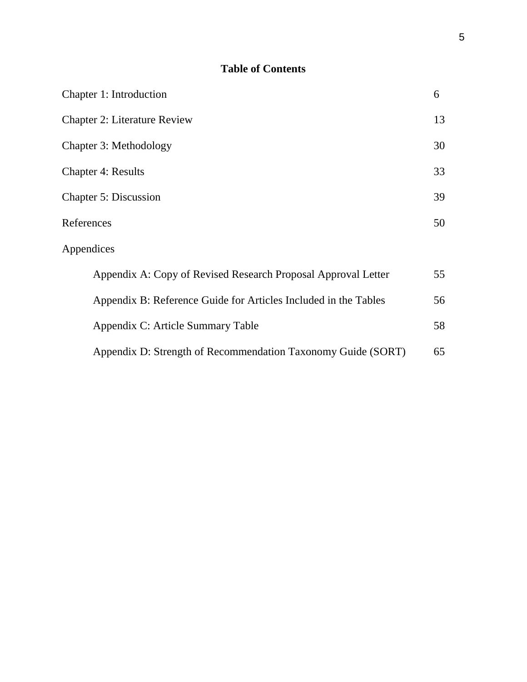## **Table of Contents**

| Chapter 1: Introduction                                         | 6  |
|-----------------------------------------------------------------|----|
| <b>Chapter 2: Literature Review</b>                             | 13 |
| Chapter 3: Methodology                                          | 30 |
| <b>Chapter 4: Results</b>                                       | 33 |
| <b>Chapter 5: Discussion</b>                                    | 39 |
| References                                                      | 50 |
| Appendices                                                      |    |
| Appendix A: Copy of Revised Research Proposal Approval Letter   | 55 |
| Appendix B: Reference Guide for Articles Included in the Tables | 56 |
| Appendix C: Article Summary Table                               | 58 |
| Appendix D: Strength of Recommendation Taxonomy Guide (SORT)    | 65 |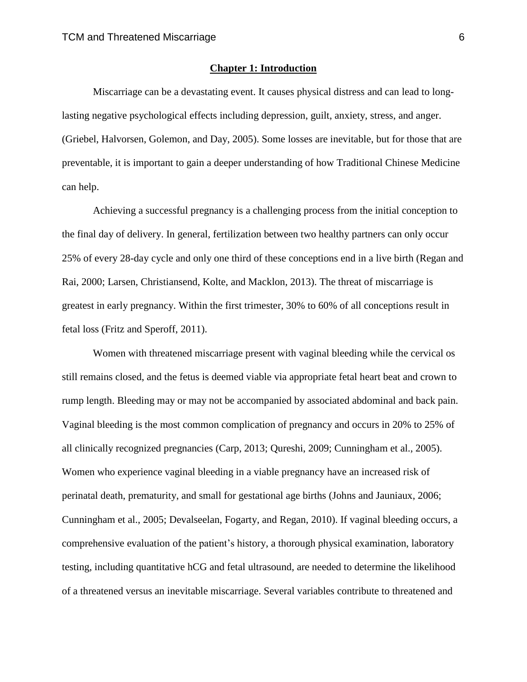### **Chapter 1: Introduction**

Miscarriage can be a devastating event. It causes physical distress and can lead to longlasting negative psychological effects including depression, guilt, anxiety, stress, and anger. (Griebel, Halvorsen, Golemon, and Day, 2005). Some losses are inevitable, but for those that are preventable, it is important to gain a deeper understanding of how Traditional Chinese Medicine can help.

Achieving a successful pregnancy is a challenging process from the initial conception to the final day of delivery. In general, fertilization between two healthy partners can only occur 25% of every 28-day cycle and only one third of these conceptions end in a live birth (Regan and Rai, 2000; Larsen, Christiansend, Kolte, and Macklon, 2013). The threat of miscarriage is greatest in early pregnancy. Within the first trimester, 30% to 60% of all conceptions result in fetal loss (Fritz and Speroff, 2011).

Women with threatened miscarriage present with vaginal bleeding while the cervical os still remains closed, and the fetus is deemed viable via appropriate fetal heart beat and crown to rump length. Bleeding may or may not be accompanied by associated abdominal and back pain. Vaginal bleeding is the most common complication of pregnancy and occurs in 20% to 25% of all clinically recognized pregnancies (Carp, 2013; Qureshi, 2009; Cunningham et al., 2005). Women who experience vaginal bleeding in a viable pregnancy have an increased risk of perinatal death, prematurity, and small for gestational age births (Johns and Jauniaux, 2006; Cunningham et al., 2005; Devalseelan, Fogarty, and Regan, 2010). If vaginal bleeding occurs, a comprehensive evaluation of the patient's history, a thorough physical examination, laboratory testing, including quantitative hCG and fetal ultrasound, are needed to determine the likelihood of a threatened versus an inevitable miscarriage. Several variables contribute to threatened and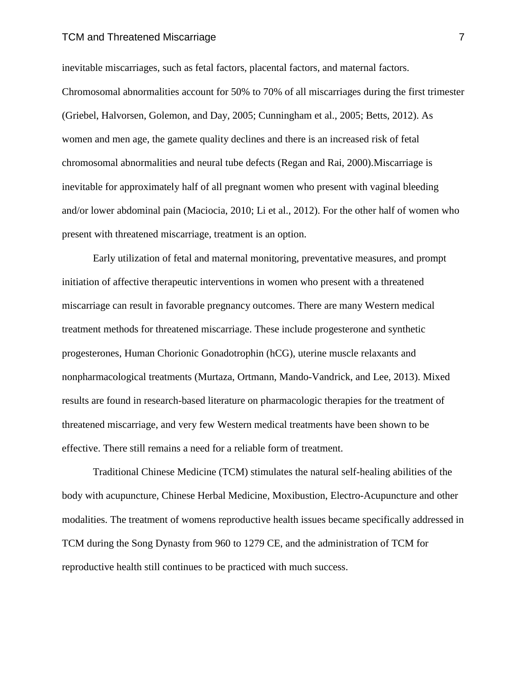#### TCM and Threatened Miscarriage 7 and 7 and 7 and 7 and 7 and 7 and 7 and 7 and 7 and 7 and 7 and 7 and 7 and 7 and 7 and 7 and 7 and 7 and 7 and 7 and 7 and 7 and 7 and 7 and 7 and 7 and 7 and 7 and 7 and 7 and 7 and 7 and

inevitable miscarriages, such as fetal factors, placental factors, and maternal factors. Chromosomal abnormalities account for 50% to 70% of all miscarriages during the first trimester (Griebel, Halvorsen, Golemon, and Day, 2005; Cunningham et al., 2005; Betts, 2012). As women and men age, the gamete quality declines and there is an increased risk of fetal chromosomal abnormalities and neural tube defects (Regan and Rai, 2000).Miscarriage is inevitable for approximately half of all pregnant women who present with vaginal bleeding and/or lower abdominal pain (Maciocia, 2010; Li et al., 2012). For the other half of women who present with threatened miscarriage, treatment is an option.

Early utilization of fetal and maternal monitoring, preventative measures, and prompt initiation of affective therapeutic interventions in women who present with a threatened miscarriage can result in favorable pregnancy outcomes. There are many Western medical treatment methods for threatened miscarriage. These include progesterone and synthetic progesterones, Human Chorionic Gonadotrophin (hCG), uterine muscle relaxants and nonpharmacological treatments (Murtaza, Ortmann, Mando-Vandrick, and Lee, 2013). Mixed results are found in research-based literature on pharmacologic therapies for the treatment of threatened miscarriage, and very few Western medical treatments have been shown to be effective. There still remains a need for a reliable form of treatment.

Traditional Chinese Medicine (TCM) stimulates the natural self-healing abilities of the body with acupuncture, Chinese Herbal Medicine, Moxibustion, Electro-Acupuncture and other modalities. The treatment of womens reproductive health issues became specifically addressed in TCM during the Song Dynasty from 960 to 1279 CE, and the administration of TCM for reproductive health still continues to be practiced with much success.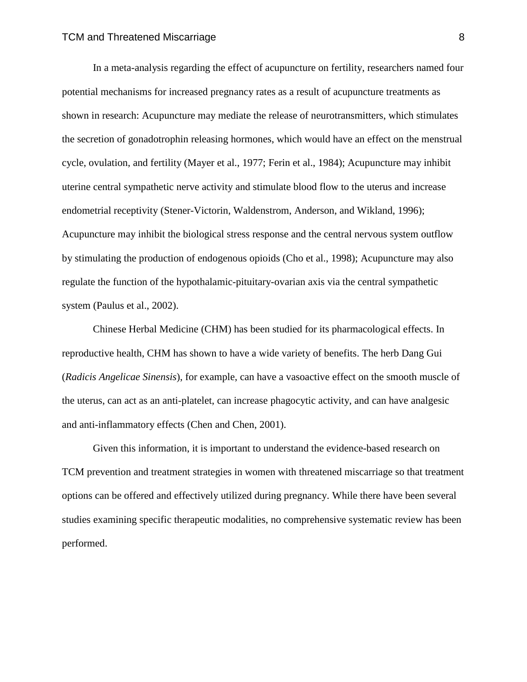In a meta-analysis regarding the effect of acupuncture on fertility, researchers named four potential mechanisms for increased pregnancy rates as a result of acupuncture treatments as shown in research: Acupuncture may mediate the release of neurotransmitters, which stimulates the secretion of gonadotrophin releasing hormones, which would have an effect on the menstrual cycle, ovulation, and fertility (Mayer et al., 1977; Ferin et al., 1984); Acupuncture may inhibit uterine central sympathetic nerve activity and stimulate blood flow to the uterus and increase endometrial receptivity (Stener-Victorin, Waldenstrom, Anderson, and Wikland, 1996); Acupuncture may inhibit the biological stress response and the central nervous system outflow by stimulating the production of endogenous opioids (Cho et al., 1998); Acupuncture may also regulate the function of the hypothalamic-pituitary-ovarian axis via the central sympathetic system (Paulus et al., 2002).

Chinese Herbal Medicine (CHM) has been studied for its pharmacological effects. In reproductive health, CHM has shown to have a wide variety of benefits. The herb Dang Gui (*Radicis Angelicae Sinensis*), for example, can have a vasoactive effect on the smooth muscle of the uterus, can act as an anti-platelet, can increase phagocytic activity, and can have analgesic and anti-inflammatory effects (Chen and Chen, 2001).

Given this information, it is important to understand the evidence-based research on TCM prevention and treatment strategies in women with threatened miscarriage so that treatment options can be offered and effectively utilized during pregnancy. While there have been several studies examining specific therapeutic modalities, no comprehensive systematic review has been performed.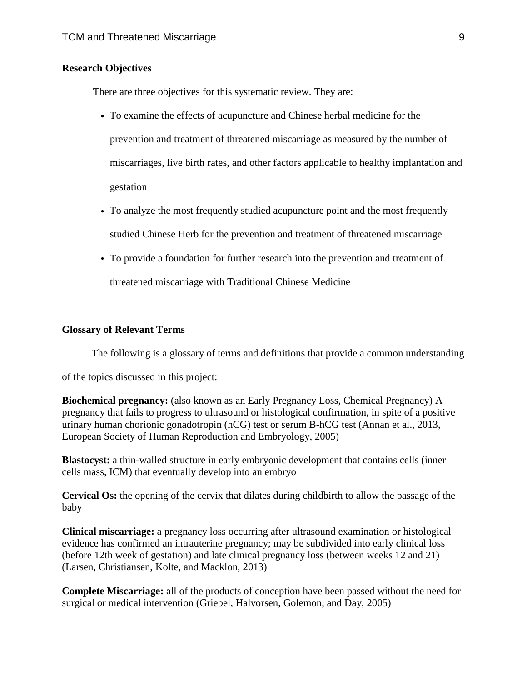### **Research Objectives**

There are three objectives for this systematic review. They are:

- To examine the effects of acupuncture and Chinese herbal medicine for the prevention and treatment of threatened miscarriage as measured by the number of miscarriages, live birth rates, and other factors applicable to healthy implantation and gestation
- To analyze the most frequently studied acupuncture point and the most frequently studied Chinese Herb for the prevention and treatment of threatened miscarriage
- To provide a foundation for further research into the prevention and treatment of threatened miscarriage with Traditional Chinese Medicine

#### **Glossary of Relevant Terms**

The following is a glossary of terms and definitions that provide a common understanding

of the topics discussed in this project:

**Biochemical pregnancy:** (also known as an Early Pregnancy Loss, Chemical Pregnancy) A pregnancy that fails to progress to ultrasound or histological confirmation, in spite of a positive urinary human chorionic gonadotropin (hCG) test or serum B-hCG test (Annan et al., 2013, European Society of Human Reproduction and Embryology, 2005)

**Blastocyst:** a thin-walled structure in early embryonic development that contains cells (inner cells mass, ICM) that eventually develop into an embryo

**Cervical Os:** the opening of the cervix that dilates during childbirth to allow the passage of the baby

**Clinical miscarriage:** a pregnancy loss occurring after ultrasound examination or histological evidence has confirmed an intrauterine pregnancy; may be subdivided into early clinical loss (before 12th week of gestation) and late clinical pregnancy loss (between weeks 12 and 21) (Larsen, Christiansen, Kolte, and Macklon, 2013)

**Complete Miscarriage:** all of the products of conception have been passed without the need for surgical or medical intervention (Griebel, Halvorsen, Golemon, and Day, 2005)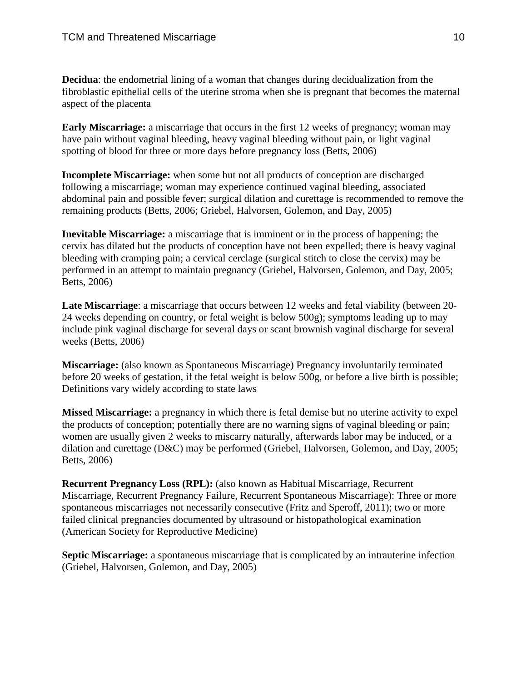**Decidua**: the endometrial lining of a woman that changes during decidualization from the fibroblastic epithelial cells of the uterine stroma when she is pregnant that becomes the maternal aspect of the placenta

**Early Miscarriage:** a miscarriage that occurs in the first 12 weeks of pregnancy; woman may have pain without vaginal bleeding, heavy vaginal bleeding without pain, or light vaginal spotting of blood for three or more days before pregnancy loss (Betts, 2006)

**Incomplete Miscarriage:** when some but not all products of conception are discharged following a miscarriage; woman may experience continued vaginal bleeding, associated abdominal pain and possible fever; surgical dilation and curettage is recommended to remove the remaining products (Betts, 2006; Griebel, Halvorsen, Golemon, and Day, 2005)

**Inevitable Miscarriage:** a miscarriage that is imminent or in the process of happening; the cervix has dilated but the products of conception have not been expelled; there is heavy vaginal bleeding with cramping pain; a cervical cerclage (surgical stitch to close the cervix) may be performed in an attempt to maintain pregnancy (Griebel, Halvorsen, Golemon, and Day, 2005; Betts, 2006)

**Late Miscarriage**: a miscarriage that occurs between 12 weeks and fetal viability (between 20- 24 weeks depending on country, or fetal weight is below 500g); symptoms leading up to may include pink vaginal discharge for several days or scant brownish vaginal discharge for several weeks (Betts, 2006)

**Miscarriage:** (also known as Spontaneous Miscarriage) Pregnancy involuntarily terminated before 20 weeks of gestation, if the fetal weight is below 500g, or before a live birth is possible; Definitions vary widely according to state laws

**Missed Miscarriage:** a pregnancy in which there is fetal demise but no uterine activity to expel the products of conception; potentially there are no warning signs of vaginal bleeding or pain; women are usually given 2 weeks to miscarry naturally, afterwards labor may be induced, or a dilation and curettage (D&C) may be performed (Griebel, Halvorsen, Golemon, and Day, 2005; Betts, 2006)

**Recurrent Pregnancy Loss (RPL):** (also known as Habitual Miscarriage, Recurrent Miscarriage, Recurrent Pregnancy Failure, Recurrent Spontaneous Miscarriage): Three or more spontaneous miscarriages not necessarily consecutive (Fritz and Speroff, 2011); two or more failed clinical pregnancies documented by ultrasound or histopathological examination (American Society for Reproductive Medicine)

**Septic Miscarriage:** a spontaneous miscarriage that is complicated by an intrauterine infection (Griebel, Halvorsen, Golemon, and Day, 2005)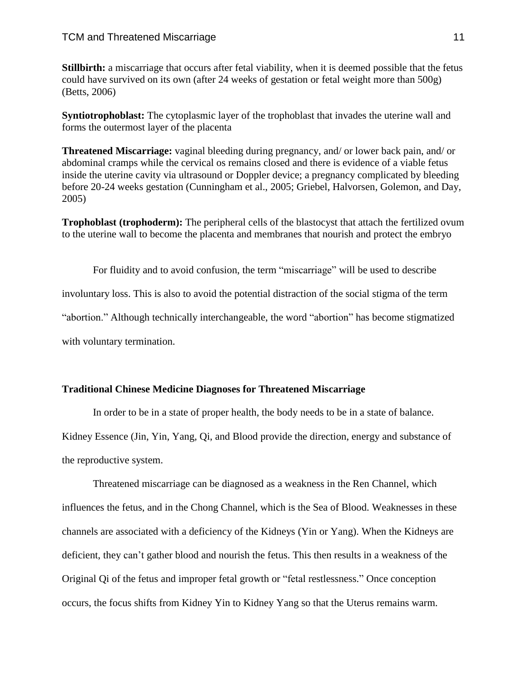**Stillbirth:** a miscarriage that occurs after fetal viability, when it is deemed possible that the fetus could have survived on its own (after 24 weeks of gestation or fetal weight more than 500g) (Betts, 2006)

**Syntiotrophoblast:** The cytoplasmic layer of the trophoblast that invades the uterine wall and forms the outermost layer of the placenta

**Threatened Miscarriage:** vaginal bleeding during pregnancy, and/ or lower back pain, and/ or abdominal cramps while the cervical os remains closed and there is evidence of a viable fetus inside the uterine cavity via ultrasound or Doppler device; a pregnancy complicated by bleeding before 20-24 weeks gestation (Cunningham et al., 2005; Griebel, Halvorsen, Golemon, and Day, 2005)

**Trophoblast (trophoderm):** The peripheral cells of the blastocyst that attach the fertilized ovum to the uterine wall to become the placenta and membranes that nourish and protect the embryo

For fluidity and to avoid confusion, the term "miscarriage" will be used to describe involuntary loss. This is also to avoid the potential distraction of the social stigma of the term "abortion." Although technically interchangeable, the word "abortion" has become stigmatized with voluntary termination.

### **Traditional Chinese Medicine Diagnoses for Threatened Miscarriage**

In order to be in a state of proper health, the body needs to be in a state of balance.

Kidney Essence (Jin, Yin, Yang, Qi, and Blood provide the direction, energy and substance of the reproductive system.

Threatened miscarriage can be diagnosed as a weakness in the Ren Channel, which influences the fetus, and in the Chong Channel, which is the Sea of Blood. Weaknesses in these channels are associated with a deficiency of the Kidneys (Yin or Yang). When the Kidneys are deficient, they can't gather blood and nourish the fetus. This then results in a weakness of the Original Qi of the fetus and improper fetal growth or "fetal restlessness." Once conception occurs, the focus shifts from Kidney Yin to Kidney Yang so that the Uterus remains warm.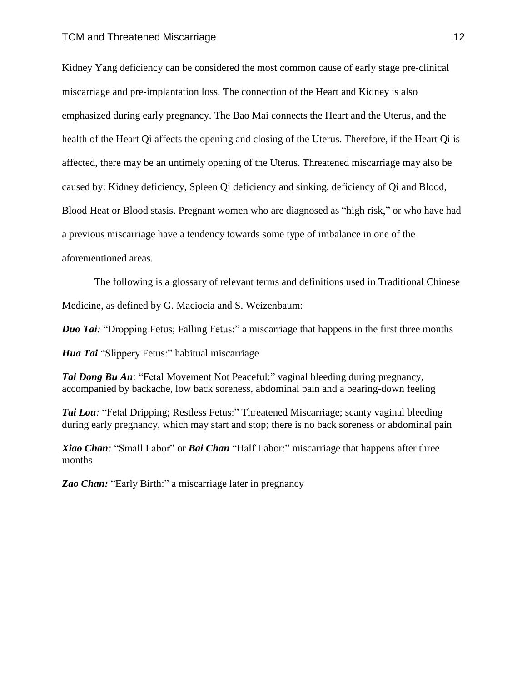Kidney Yang deficiency can be considered the most common cause of early stage pre-clinical miscarriage and pre-implantation loss. The connection of the Heart and Kidney is also emphasized during early pregnancy. The Bao Mai connects the Heart and the Uterus, and the health of the Heart Qi affects the opening and closing of the Uterus. Therefore, if the Heart Qi is affected, there may be an untimely opening of the Uterus. Threatened miscarriage may also be caused by: Kidney deficiency, Spleen Qi deficiency and sinking, deficiency of Qi and Blood, Blood Heat or Blood stasis. Pregnant women who are diagnosed as "high risk," or who have had a previous miscarriage have a tendency towards some type of imbalance in one of the aforementioned areas.

 The following is a glossary of relevant terms and definitions used in Traditional Chinese Medicine, as defined by G. Maciocia and S. Weizenbaum:

*Duo Tai:* "Dropping Fetus; Falling Fetus:" a miscarriage that happens in the first three months

*Hua Tai* "Slippery Fetus:" habitual miscarriage

*Tai Dong Bu An:* "Fetal Movement Not Peaceful:" vaginal bleeding during pregnancy, accompanied by backache, low back soreness, abdominal pain and a bearing-down feeling

*Tai Lou:* "Fetal Dripping; Restless Fetus:" Threatened Miscarriage; scanty vaginal bleeding during early pregnancy, which may start and stop; there is no back soreness or abdominal pain

*Xiao Chan:* "Small Labor" or *Bai Chan* "Half Labor:" miscarriage that happens after three months

*Zao Chan:* "Early Birth:" a miscarriage later in pregnancy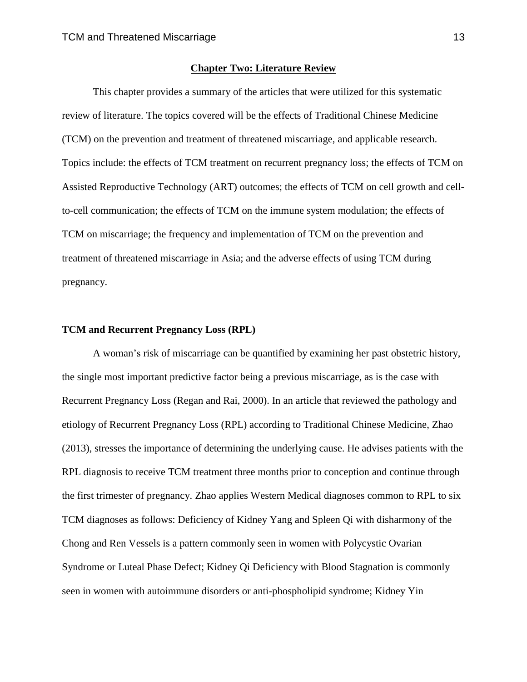### **Chapter Two: Literature Review**

This chapter provides a summary of the articles that were utilized for this systematic review of literature. The topics covered will be the effects of Traditional Chinese Medicine (TCM) on the prevention and treatment of threatened miscarriage, and applicable research. Topics include: the effects of TCM treatment on recurrent pregnancy loss; the effects of TCM on Assisted Reproductive Technology (ART) outcomes; the effects of TCM on cell growth and cellto-cell communication; the effects of TCM on the immune system modulation; the effects of TCM on miscarriage; the frequency and implementation of TCM on the prevention and treatment of threatened miscarriage in Asia; and the adverse effects of using TCM during pregnancy.

#### **TCM and Recurrent Pregnancy Loss (RPL)**

A woman's risk of miscarriage can be quantified by examining her past obstetric history, the single most important predictive factor being a previous miscarriage, as is the case with Recurrent Pregnancy Loss (Regan and Rai, 2000). In an article that reviewed the pathology and etiology of Recurrent Pregnancy Loss (RPL) according to Traditional Chinese Medicine, Zhao (2013), stresses the importance of determining the underlying cause. He advises patients with the RPL diagnosis to receive TCM treatment three months prior to conception and continue through the first trimester of pregnancy. Zhao applies Western Medical diagnoses common to RPL to six TCM diagnoses as follows: Deficiency of Kidney Yang and Spleen Qi with disharmony of the Chong and Ren Vessels is a pattern commonly seen in women with Polycystic Ovarian Syndrome or Luteal Phase Defect; Kidney Qi Deficiency with Blood Stagnation is commonly seen in women with autoimmune disorders or anti-phospholipid syndrome; Kidney Yin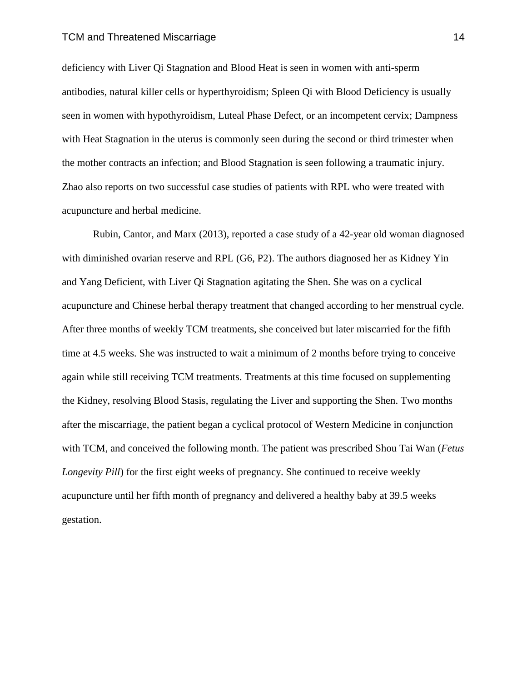#### TCM and Threatened Miscarriage 14

deficiency with Liver Qi Stagnation and Blood Heat is seen in women with anti-sperm antibodies, natural killer cells or hyperthyroidism; Spleen Qi with Blood Deficiency is usually seen in women with hypothyroidism, Luteal Phase Defect, or an incompetent cervix; Dampness with Heat Stagnation in the uterus is commonly seen during the second or third trimester when the mother contracts an infection; and Blood Stagnation is seen following a traumatic injury. Zhao also reports on two successful case studies of patients with RPL who were treated with acupuncture and herbal medicine.

Rubin, Cantor, and Marx (2013), reported a case study of a 42-year old woman diagnosed with diminished ovarian reserve and RPL (G6, P2). The authors diagnosed her as Kidney Yin and Yang Deficient, with Liver Qi Stagnation agitating the Shen. She was on a cyclical acupuncture and Chinese herbal therapy treatment that changed according to her menstrual cycle. After three months of weekly TCM treatments, she conceived but later miscarried for the fifth time at 4.5 weeks. She was instructed to wait a minimum of 2 months before trying to conceive again while still receiving TCM treatments. Treatments at this time focused on supplementing the Kidney, resolving Blood Stasis, regulating the Liver and supporting the Shen. Two months after the miscarriage, the patient began a cyclical protocol of Western Medicine in conjunction with TCM, and conceived the following month. The patient was prescribed Shou Tai Wan (*Fetus Longevity Pill*) for the first eight weeks of pregnancy. She continued to receive weekly acupuncture until her fifth month of pregnancy and delivered a healthy baby at 39.5 weeks gestation.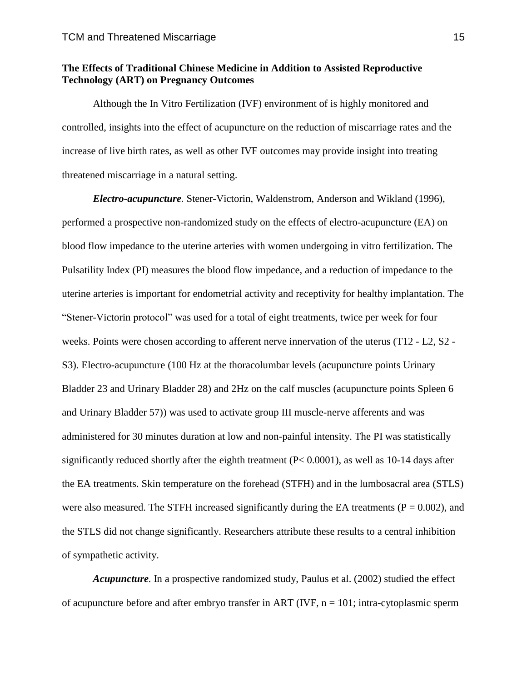### **The Effects of Traditional Chinese Medicine in Addition to Assisted Reproductive Technology (ART) on Pregnancy Outcomes**

Although the In Vitro Fertilization (IVF) environment of is highly monitored and controlled, insights into the effect of acupuncture on the reduction of miscarriage rates and the increase of live birth rates, as well as other IVF outcomes may provide insight into treating threatened miscarriage in a natural setting.

*Electro-acupuncture.* Stener-Victorin, Waldenstrom, Anderson and Wikland (1996), performed a prospective non-randomized study on the effects of electro-acupuncture (EA) on blood flow impedance to the uterine arteries with women undergoing in vitro fertilization. The Pulsatility Index (PI) measures the blood flow impedance, and a reduction of impedance to the uterine arteries is important for endometrial activity and receptivity for healthy implantation. The "Stener-Victorin protocol" was used for a total of eight treatments, twice per week for four weeks. Points were chosen according to afferent nerve innervation of the uterus (T12 - L2, S2 - S3). Electro-acupuncture (100 Hz at the thoracolumbar levels (acupuncture points Urinary Bladder 23 and Urinary Bladder 28) and 2Hz on the calf muscles (acupuncture points Spleen 6 and Urinary Bladder 57)) was used to activate group III muscle-nerve afferents and was administered for 30 minutes duration at low and non-painful intensity. The PI was statistically significantly reduced shortly after the eighth treatment (P< 0.0001), as well as 10-14 days after the EA treatments. Skin temperature on the forehead (STFH) and in the lumbosacral area (STLS) were also measured. The STFH increased significantly during the EA treatments ( $P = 0.002$ ), and the STLS did not change significantly. Researchers attribute these results to a central inhibition of sympathetic activity.

*Acupuncture.* In a prospective randomized study, Paulus et al. (2002) studied the effect of acupuncture before and after embryo transfer in ART (IVF,  $n = 101$ ; intra-cytoplasmic sperm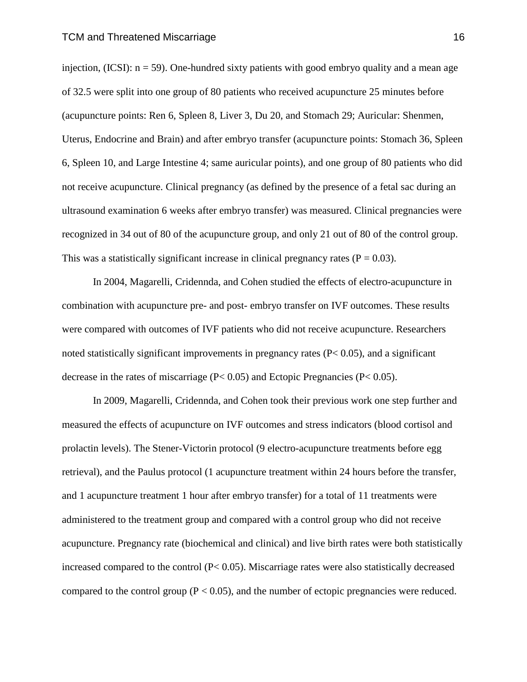injection,  $(ICSI)$ :  $n = 59$ ). One-hundred sixty patients with good embryo quality and a mean age of 32.5 were split into one group of 80 patients who received acupuncture 25 minutes before (acupuncture points: Ren 6, Spleen 8, Liver 3, Du 20, and Stomach 29; Auricular: Shenmen, Uterus, Endocrine and Brain) and after embryo transfer (acupuncture points: Stomach 36, Spleen 6, Spleen 10, and Large Intestine 4; same auricular points), and one group of 80 patients who did not receive acupuncture. Clinical pregnancy (as defined by the presence of a fetal sac during an ultrasound examination 6 weeks after embryo transfer) was measured. Clinical pregnancies were recognized in 34 out of 80 of the acupuncture group, and only 21 out of 80 of the control group. This was a statistically significant increase in clinical pregnancy rates ( $P = 0.03$ ).

In 2004, Magarelli, Cridennda, and Cohen studied the effects of electro-acupuncture in combination with acupuncture pre- and post- embryo transfer on IVF outcomes. These results were compared with outcomes of IVF patients who did not receive acupuncture. Researchers noted statistically significant improvements in pregnancy rates  $(P< 0.05)$ , and a significant decrease in the rates of miscarriage  $(P< 0.05)$  and Ectopic Pregnancies  $(P< 0.05)$ .

In 2009, Magarelli, Cridennda, and Cohen took their previous work one step further and measured the effects of acupuncture on IVF outcomes and stress indicators (blood cortisol and prolactin levels). The Stener-Victorin protocol (9 electro-acupuncture treatments before egg retrieval), and the Paulus protocol (1 acupuncture treatment within 24 hours before the transfer, and 1 acupuncture treatment 1 hour after embryo transfer) for a total of 11 treatments were administered to the treatment group and compared with a control group who did not receive acupuncture. Pregnancy rate (biochemical and clinical) and live birth rates were both statistically increased compared to the control (P< 0.05). Miscarriage rates were also statistically decreased compared to the control group  $(P < 0.05)$ , and the number of ectopic pregnancies were reduced.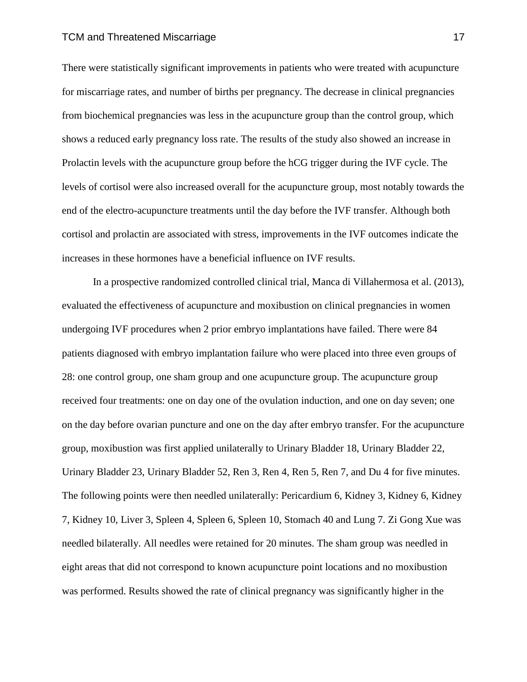#### TCM and Threatened Miscarriage 17

There were statistically significant improvements in patients who were treated with acupuncture for miscarriage rates, and number of births per pregnancy. The decrease in clinical pregnancies from biochemical pregnancies was less in the acupuncture group than the control group, which shows a reduced early pregnancy loss rate. The results of the study also showed an increase in Prolactin levels with the acupuncture group before the hCG trigger during the IVF cycle. The levels of cortisol were also increased overall for the acupuncture group, most notably towards the end of the electro-acupuncture treatments until the day before the IVF transfer. Although both cortisol and prolactin are associated with stress, improvements in the IVF outcomes indicate the increases in these hormones have a beneficial influence on IVF results.

In a prospective randomized controlled clinical trial, Manca di Villahermosa et al. (2013), evaluated the effectiveness of acupuncture and moxibustion on clinical pregnancies in women undergoing IVF procedures when 2 prior embryo implantations have failed. There were 84 patients diagnosed with embryo implantation failure who were placed into three even groups of 28: one control group, one sham group and one acupuncture group. The acupuncture group received four treatments: one on day one of the ovulation induction, and one on day seven; one on the day before ovarian puncture and one on the day after embryo transfer. For the acupuncture group, moxibustion was first applied unilaterally to Urinary Bladder 18, Urinary Bladder 22, Urinary Bladder 23, Urinary Bladder 52, Ren 3, Ren 4, Ren 5, Ren 7, and Du 4 for five minutes. The following points were then needled unilaterally: Pericardium 6, Kidney 3, Kidney 6, Kidney 7, Kidney 10, Liver 3, Spleen 4, Spleen 6, Spleen 10, Stomach 40 and Lung 7. Zi Gong Xue was needled bilaterally. All needles were retained for 20 minutes. The sham group was needled in eight areas that did not correspond to known acupuncture point locations and no moxibustion was performed. Results showed the rate of clinical pregnancy was significantly higher in the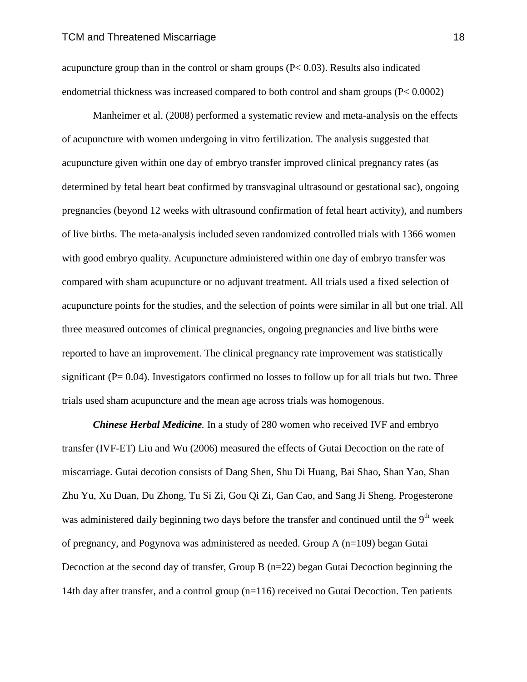acupuncture group than in the control or sham groups  $(P< 0.03)$ . Results also indicated endometrial thickness was increased compared to both control and sham groups (P< 0.0002)

Manheimer et al. (2008) performed a systematic review and meta-analysis on the effects of acupuncture with women undergoing in vitro fertilization. The analysis suggested that acupuncture given within one day of embryo transfer improved clinical pregnancy rates (as determined by fetal heart beat confirmed by transvaginal ultrasound or gestational sac), ongoing pregnancies (beyond 12 weeks with ultrasound confirmation of fetal heart activity), and numbers of live births. The meta-analysis included seven randomized controlled trials with 1366 women with good embryo quality. Acupuncture administered within one day of embryo transfer was compared with sham acupuncture or no adjuvant treatment. All trials used a fixed selection of acupuncture points for the studies, and the selection of points were similar in all but one trial. All three measured outcomes of clinical pregnancies, ongoing pregnancies and live births were reported to have an improvement. The clinical pregnancy rate improvement was statistically significant  $(P= 0.04)$ . Investigators confirmed no losses to follow up for all trials but two. Three trials used sham acupuncture and the mean age across trials was homogenous.

*Chinese Herbal Medicine.* In a study of 280 women who received IVF and embryo transfer (IVF-ET) Liu and Wu (2006) measured the effects of Gutai Decoction on the rate of miscarriage. Gutai decotion consists of Dang Shen, Shu Di Huang, Bai Shao, Shan Yao, Shan Zhu Yu, Xu Duan, Du Zhong, Tu Si Zi, Gou Qi Zi, Gan Cao, and Sang Ji Sheng. Progesterone was administered daily beginning two days before the transfer and continued until the 9<sup>th</sup> week of pregnancy, and Pogynova was administered as needed. Group A (n=109) began Gutai Decoction at the second day of transfer, Group B (n=22) began Gutai Decoction beginning the 14th day after transfer, and a control group (n=116) received no Gutai Decoction. Ten patients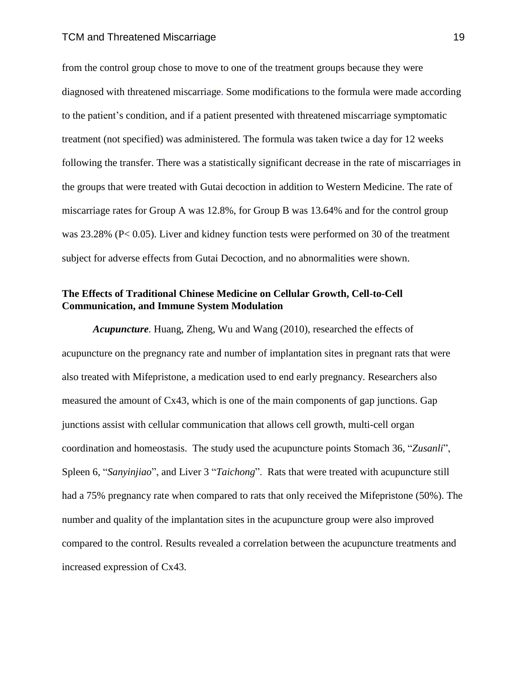from the control group chose to move to one of the treatment groups because they were diagnosed with threatened miscarriage. Some modifications to the formula were made according to the patient's condition, and if a patient presented with threatened miscarriage symptomatic treatment (not specified) was administered. The formula was taken twice a day for 12 weeks following the transfer. There was a statistically significant decrease in the rate of miscarriages in the groups that were treated with Gutai decoction in addition to Western Medicine. The rate of miscarriage rates for Group A was 12.8%, for Group B was 13.64% and for the control group was 23.28% (P< 0.05). Liver and kidney function tests were performed on 30 of the treatment subject for adverse effects from Gutai Decoction, and no abnormalities were shown.

### **The Effects of Traditional Chinese Medicine on Cellular Growth, Cell-to-Cell Communication, and Immune System Modulation**

*Acupuncture.* Huang, Zheng, Wu and Wang (2010), researched the effects of acupuncture on the pregnancy rate and number of implantation sites in pregnant rats that were also treated with Mifepristone, a medication used to end early pregnancy. Researchers also measured the amount of Cx43, which is one of the main components of gap junctions. Gap junctions assist with cellular communication that allows cell growth, multi-cell organ coordination and homeostasis. The study used the acupuncture points Stomach 36, "*Zusanli*", Spleen 6, "*Sanyinjiao*", and Liver 3 "*Taichong*". Rats that were treated with acupuncture still had a 75% pregnancy rate when compared to rats that only received the Mifepristone (50%). The number and quality of the implantation sites in the acupuncture group were also improved compared to the control. Results revealed a correlation between the acupuncture treatments and increased expression of Cx43.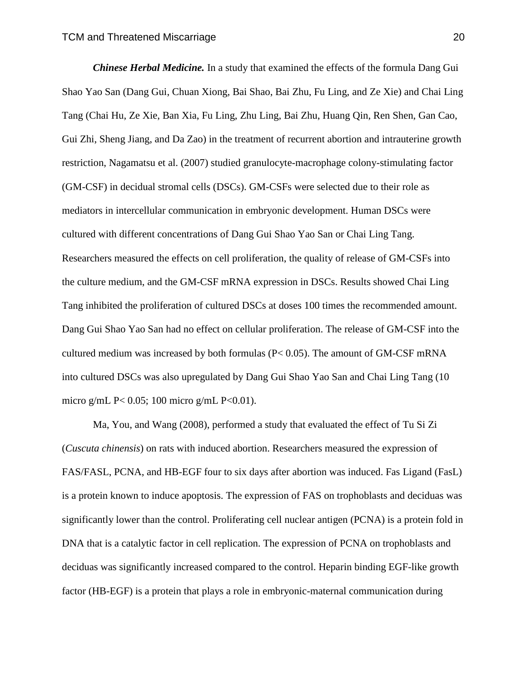*Chinese Herbal Medicine.* In a study that examined the effects of the formula Dang Gui Shao Yao San (Dang Gui, Chuan Xiong, Bai Shao, Bai Zhu, Fu Ling, and Ze Xie) and Chai Ling Tang (Chai Hu, Ze Xie, Ban Xia, Fu Ling, Zhu Ling, Bai Zhu, Huang Qin, Ren Shen, Gan Cao, Gui Zhi, Sheng Jiang, and Da Zao) in the treatment of recurrent abortion and intrauterine growth restriction, Nagamatsu et al. (2007) studied granulocyte-macrophage colony-stimulating factor (GM-CSF) in decidual stromal cells (DSCs). GM-CSFs were selected due to their role as mediators in intercellular communication in embryonic development. Human DSCs were cultured with different concentrations of Dang Gui Shao Yao San or Chai Ling Tang. Researchers measured the effects on cell proliferation, the quality of release of GM-CSFs into the culture medium, and the GM-CSF mRNA expression in DSCs. Results showed Chai Ling Tang inhibited the proliferation of cultured DSCs at doses 100 times the recommended amount. Dang Gui Shao Yao San had no effect on cellular proliferation. The release of GM-CSF into the cultured medium was increased by both formulas (P< 0.05). The amount of GM-CSF mRNA into cultured DSCs was also upregulated by Dang Gui Shao Yao San and Chai Ling Tang (10 micro g/mL P< 0.05; 100 micro g/mL P< 0.01).

Ma, You, and Wang (2008), performed a study that evaluated the effect of Tu Si Zi (*Cuscuta chinensis*) on rats with induced abortion. Researchers measured the expression of FAS/FASL, PCNA, and HB-EGF four to six days after abortion was induced. Fas Ligand (FasL) is a protein known to induce apoptosis. The expression of FAS on trophoblasts and deciduas was significantly lower than the control. Proliferating cell nuclear antigen (PCNA) is a protein fold in DNA that is a catalytic factor in cell replication. The expression of PCNA on trophoblasts and deciduas was significantly increased compared to the control. Heparin binding EGF-like growth factor (HB-EGF) is a protein that plays a role in embryonic-maternal communication during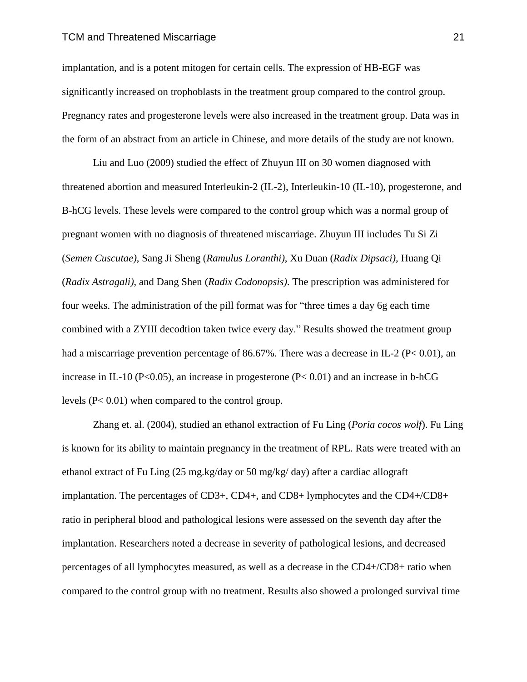#### TCM and Threatened Miscarriage 21

implantation, and is a potent mitogen for certain cells. The expression of HB-EGF was significantly increased on trophoblasts in the treatment group compared to the control group. Pregnancy rates and progesterone levels were also increased in the treatment group. Data was in the form of an abstract from an article in Chinese, and more details of the study are not known.

Liu and Luo (2009) studied the effect of Zhuyun III on 30 women diagnosed with threatened abortion and measured Interleukin-2 (IL-2), Interleukin-10 (IL-10), progesterone, and B-hCG levels. These levels were compared to the control group which was a normal group of pregnant women with no diagnosis of threatened miscarriage. Zhuyun III includes Tu Si Zi (*Semen Cuscutae)*, Sang Ji Sheng (*Ramulus Loranthi)*, Xu Duan (*Radix Dipsaci)*, Huang Qi (*Radix Astragali)*, and Dang Shen (*Radix Codonopsis)*. The prescription was administered for four weeks. The administration of the pill format was for "three times a day 6g each time combined with a ZYIII decodtion taken twice every day." Results showed the treatment group had a miscarriage prevention percentage of 86.67%. There was a decrease in IL-2 ( $P < 0.01$ ), an increase in IL-10 (P<0.05), an increase in progesterone (P $< 0.01$ ) and an increase in b-hCG levels (P< 0.01) when compared to the control group.

Zhang et. al. (2004), studied an ethanol extraction of Fu Ling (*Poria cocos wolf*). Fu Ling is known for its ability to maintain pregnancy in the treatment of RPL. Rats were treated with an ethanol extract of Fu Ling (25 mg.kg/day or 50 mg/kg/ day) after a cardiac allograft implantation. The percentages of CD3+, CD4+, and CD8+ lymphocytes and the CD4+/CD8+ ratio in peripheral blood and pathological lesions were assessed on the seventh day after the implantation. Researchers noted a decrease in severity of pathological lesions, and decreased percentages of all lymphocytes measured, as well as a decrease in the CD4+/CD8+ ratio when compared to the control group with no treatment. Results also showed a prolonged survival time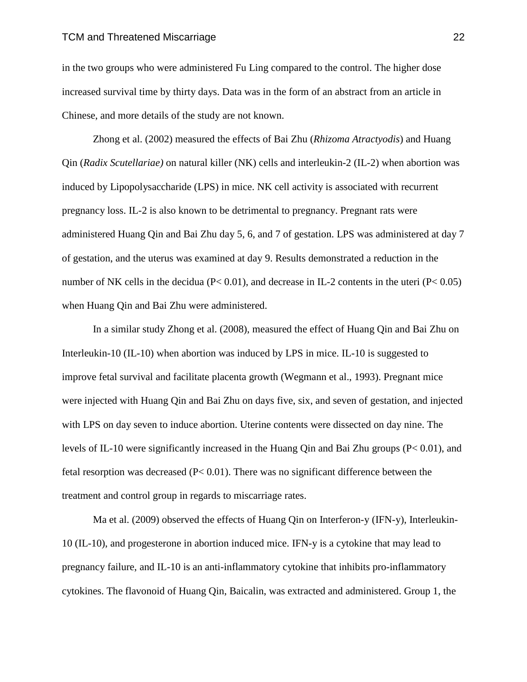#### TCM and Threatened Miscarriage 22

in the two groups who were administered Fu Ling compared to the control. The higher dose increased survival time by thirty days. Data was in the form of an abstract from an article in Chinese, and more details of the study are not known.

Zhong et al. (2002) measured the effects of Bai Zhu (*Rhizoma Atractyodis*) and Huang Qin (*Radix Scutellariae)* on natural killer (NK) cells and interleukin-2 (IL-2) when abortion was induced by Lipopolysaccharide (LPS) in mice. NK cell activity is associated with recurrent pregnancy loss. IL-2 is also known to be detrimental to pregnancy. Pregnant rats were administered Huang Qin and Bai Zhu day 5, 6, and 7 of gestation. LPS was administered at day 7 of gestation, and the uterus was examined at day 9. Results demonstrated a reduction in the number of NK cells in the decidua ( $P < 0.01$ ), and decrease in IL-2 contents in the uteri ( $P < 0.05$ ) when Huang Qin and Bai Zhu were administered.

In a similar study Zhong et al. (2008), measured the effect of Huang Qin and Bai Zhu on Interleukin-10 (IL-10) when abortion was induced by LPS in mice. IL-10 is suggested to improve fetal survival and facilitate placenta growth (Wegmann et al., 1993). Pregnant mice were injected with Huang Qin and Bai Zhu on days five, six, and seven of gestation, and injected with LPS on day seven to induce abortion. Uterine contents were dissected on day nine. The levels of IL-10 were significantly increased in the Huang Qin and Bai Zhu groups (P< 0.01), and fetal resorption was decreased (P< 0.01). There was no significant difference between the treatment and control group in regards to miscarriage rates.

Ma et al. (2009) observed the effects of Huang Qin on Interferon-y (IFN-y), Interleukin-10 (IL-10), and progesterone in abortion induced mice. IFN-y is a cytokine that may lead to pregnancy failure, and IL-10 is an anti-inflammatory cytokine that inhibits pro-inflammatory cytokines. The flavonoid of Huang Qin, Baicalin, was extracted and administered. Group 1, the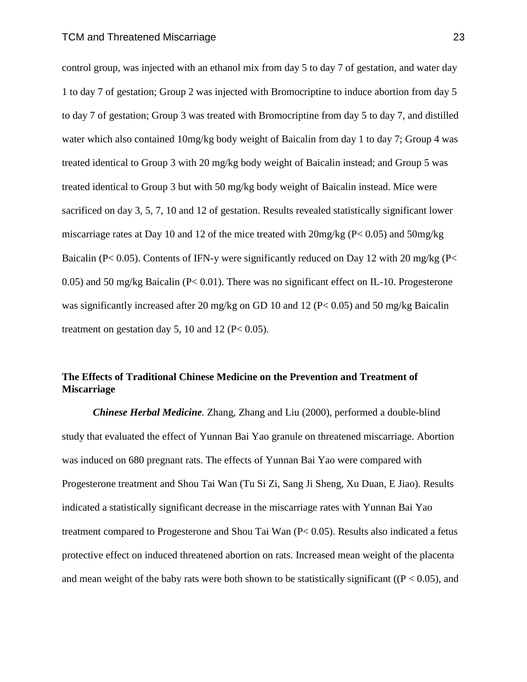control group, was injected with an ethanol mix from day 5 to day 7 of gestation, and water day 1 to day 7 of gestation; Group 2 was injected with Bromocriptine to induce abortion from day 5 to day 7 of gestation; Group 3 was treated with Bromocriptine from day 5 to day 7, and distilled water which also contained 10mg/kg body weight of Baicalin from day 1 to day 7; Group 4 was treated identical to Group 3 with 20 mg/kg body weight of Baicalin instead; and Group 5 was treated identical to Group 3 but with 50 mg/kg body weight of Baicalin instead. Mice were sacrificed on day 3, 5, 7, 10 and 12 of gestation. Results revealed statistically significant lower miscarriage rates at Day 10 and 12 of the mice treated with 20mg/kg (P< 0.05) and 50mg/kg Baicalin (P< 0.05). Contents of IFN-y were significantly reduced on Day 12 with 20 mg/kg (P< 0.05) and 50 mg/kg Baicalin ( $P < 0.01$ ). There was no significant effect on IL-10. Progesterone was significantly increased after 20 mg/kg on GD 10 and 12 (P< 0.05) and 50 mg/kg Baicalin treatment on gestation day 5, 10 and 12 ( $P < 0.05$ ).

### **The Effects of Traditional Chinese Medicine on the Prevention and Treatment of Miscarriage**

*Chinese Herbal Medicine.* Zhang, Zhang and Liu (2000), performed a double-blind study that evaluated the effect of Yunnan Bai Yao granule on threatened miscarriage. Abortion was induced on 680 pregnant rats. The effects of Yunnan Bai Yao were compared with Progesterone treatment and Shou Tai Wan (Tu Si Zi, Sang Ji Sheng, Xu Duan, E Jiao). Results indicated a statistically significant decrease in the miscarriage rates with Yunnan Bai Yao treatment compared to Progesterone and Shou Tai Wan (P< 0.05). Results also indicated a fetus protective effect on induced threatened abortion on rats. Increased mean weight of the placenta and mean weight of the baby rats were both shown to be statistically significant ( $(P < 0.05)$ ), and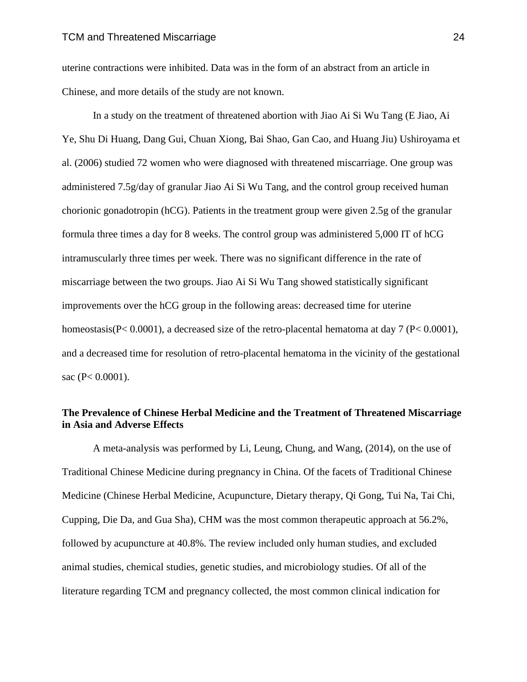uterine contractions were inhibited. Data was in the form of an abstract from an article in Chinese, and more details of the study are not known.

In a study on the treatment of threatened abortion with Jiao Ai Si Wu Tang (E Jiao, Ai Ye, Shu Di Huang, Dang Gui, Chuan Xiong, Bai Shao, Gan Cao, and Huang Jiu) Ushiroyama et al. (2006) studied 72 women who were diagnosed with threatened miscarriage. One group was administered 7.5g/day of granular Jiao Ai Si Wu Tang, and the control group received human chorionic gonadotropin (hCG). Patients in the treatment group were given 2.5g of the granular formula three times a day for 8 weeks. The control group was administered 5,000 IT of hCG intramuscularly three times per week. There was no significant difference in the rate of miscarriage between the two groups. Jiao Ai Si Wu Tang showed statistically significant improvements over the hCG group in the following areas: decreased time for uterine homeostasis( $P < 0.0001$ ), a decreased size of the retro-placental hematoma at day 7 ( $P < 0.0001$ ), and a decreased time for resolution of retro-placental hematoma in the vicinity of the gestational sac (P< 0.0001).

### **The Prevalence of Chinese Herbal Medicine and the Treatment of Threatened Miscarriage in Asia and Adverse Effects**

A meta-analysis was performed by Li, Leung, Chung, and Wang, (2014), on the use of Traditional Chinese Medicine during pregnancy in China. Of the facets of Traditional Chinese Medicine (Chinese Herbal Medicine, Acupuncture, Dietary therapy, Qi Gong, Tui Na, Tai Chi, Cupping, Die Da, and Gua Sha), CHM was the most common therapeutic approach at 56.2%, followed by acupuncture at 40.8%. The review included only human studies, and excluded animal studies, chemical studies, genetic studies, and microbiology studies. Of all of the literature regarding TCM and pregnancy collected, the most common clinical indication for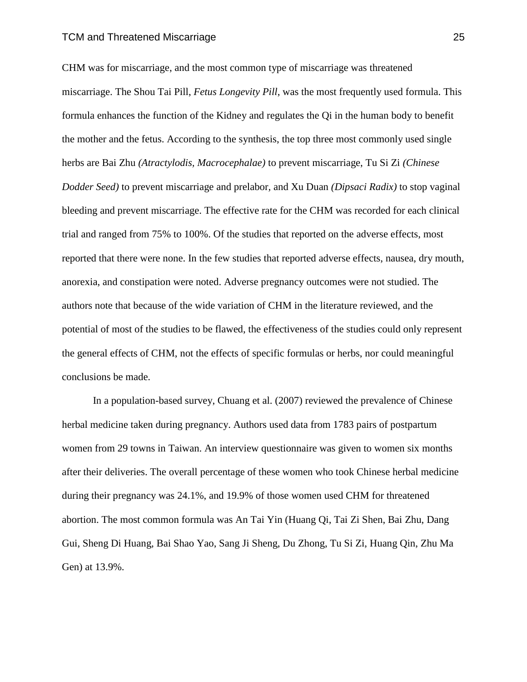CHM was for miscarriage, and the most common type of miscarriage was threatened miscarriage. The Shou Tai Pill, *Fetus Longevity Pill*, was the most frequently used formula. This formula enhances the function of the Kidney and regulates the Qi in the human body to benefit the mother and the fetus. According to the synthesis, the top three most commonly used single herbs are Bai Zhu *(Atractylodis, Macrocephalae)* to prevent miscarriage, Tu Si Zi *(Chinese Dodder Seed)* to prevent miscarriage and prelabor*,* and Xu Duan *(Dipsaci Radix)* to stop vaginal bleeding and prevent miscarriage. The effective rate for the CHM was recorded for each clinical trial and ranged from 75% to 100%. Of the studies that reported on the adverse effects, most reported that there were none. In the few studies that reported adverse effects, nausea, dry mouth, anorexia, and constipation were noted. Adverse pregnancy outcomes were not studied. The authors note that because of the wide variation of CHM in the literature reviewed, and the potential of most of the studies to be flawed, the effectiveness of the studies could only represent the general effects of CHM, not the effects of specific formulas or herbs, nor could meaningful conclusions be made.

In a population-based survey, Chuang et al. (2007) reviewed the prevalence of Chinese herbal medicine taken during pregnancy. Authors used data from 1783 pairs of postpartum women from 29 towns in Taiwan. An interview questionnaire was given to women six months after their deliveries. The overall percentage of these women who took Chinese herbal medicine during their pregnancy was 24.1%, and 19.9% of those women used CHM for threatened abortion. The most common formula was An Tai Yin (Huang Qi, Tai Zi Shen, Bai Zhu, Dang Gui, Sheng Di Huang, Bai Shao Yao, Sang Ji Sheng, Du Zhong, Tu Si Zi, Huang Qin, Zhu Ma Gen) at 13.9%.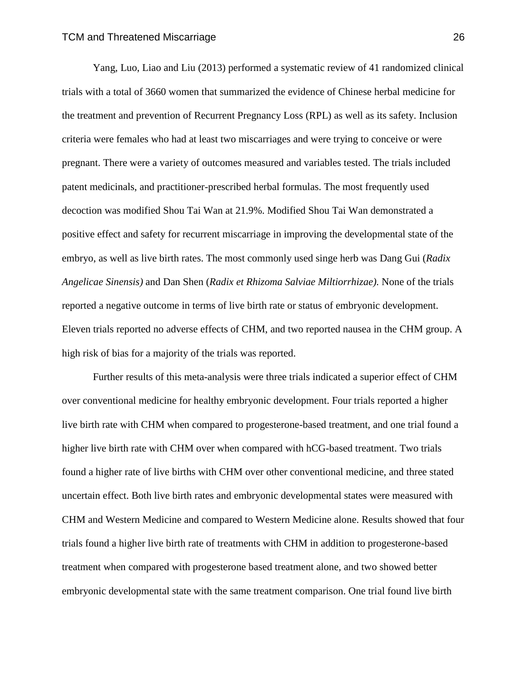Yang, Luo, Liao and Liu (2013) performed a systematic review of 41 randomized clinical trials with a total of 3660 women that summarized the evidence of Chinese herbal medicine for the treatment and prevention of Recurrent Pregnancy Loss (RPL) as well as its safety. Inclusion criteria were females who had at least two miscarriages and were trying to conceive or were pregnant. There were a variety of outcomes measured and variables tested. The trials included patent medicinals, and practitioner-prescribed herbal formulas. The most frequently used decoction was modified Shou Tai Wan at 21.9%. Modified Shou Tai Wan demonstrated a positive effect and safety for recurrent miscarriage in improving the developmental state of the embryo, as well as live birth rates. The most commonly used singe herb was Dang Gui (*Radix Angelicae Sinensis)* and Dan Shen (*Radix et Rhizoma Salviae Miltiorrhizae).* None of the trials reported a negative outcome in terms of live birth rate or status of embryonic development. Eleven trials reported no adverse effects of CHM, and two reported nausea in the CHM group. A high risk of bias for a majority of the trials was reported.

Further results of this meta-analysis were three trials indicated a superior effect of CHM over conventional medicine for healthy embryonic development. Four trials reported a higher live birth rate with CHM when compared to progesterone-based treatment, and one trial found a higher live birth rate with CHM over when compared with hCG-based treatment. Two trials found a higher rate of live births with CHM over other conventional medicine, and three stated uncertain effect. Both live birth rates and embryonic developmental states were measured with CHM and Western Medicine and compared to Western Medicine alone. Results showed that four trials found a higher live birth rate of treatments with CHM in addition to progesterone-based treatment when compared with progesterone based treatment alone, and two showed better embryonic developmental state with the same treatment comparison. One trial found live birth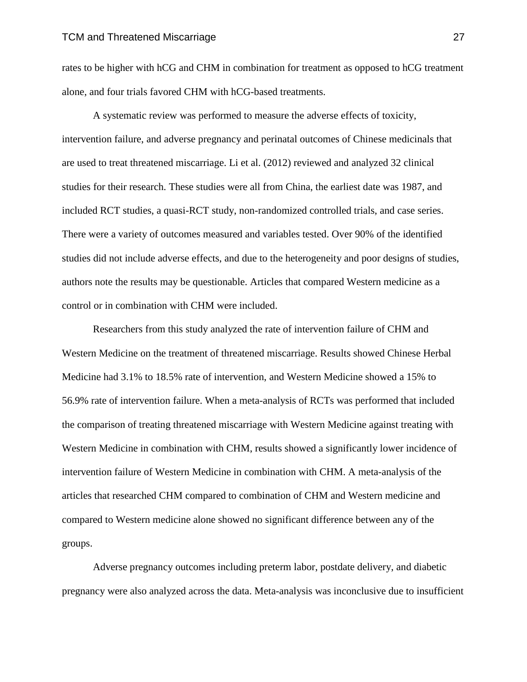rates to be higher with hCG and CHM in combination for treatment as opposed to hCG treatment alone, and four trials favored CHM with hCG-based treatments.

A systematic review was performed to measure the adverse effects of toxicity, intervention failure, and adverse pregnancy and perinatal outcomes of Chinese medicinals that are used to treat threatened miscarriage. Li et al. (2012) reviewed and analyzed 32 clinical studies for their research. These studies were all from China, the earliest date was 1987, and included RCT studies, a quasi-RCT study, non-randomized controlled trials, and case series. There were a variety of outcomes measured and variables tested. Over 90% of the identified studies did not include adverse effects, and due to the heterogeneity and poor designs of studies, authors note the results may be questionable. Articles that compared Western medicine as a control or in combination with CHM were included.

Researchers from this study analyzed the rate of intervention failure of CHM and Western Medicine on the treatment of threatened miscarriage. Results showed Chinese Herbal Medicine had 3.1% to 18.5% rate of intervention, and Western Medicine showed a 15% to 56.9% rate of intervention failure. When a meta-analysis of RCTs was performed that included the comparison of treating threatened miscarriage with Western Medicine against treating with Western Medicine in combination with CHM, results showed a significantly lower incidence of intervention failure of Western Medicine in combination with CHM. A meta-analysis of the articles that researched CHM compared to combination of CHM and Western medicine and compared to Western medicine alone showed no significant difference between any of the groups.

Adverse pregnancy outcomes including preterm labor, postdate delivery, and diabetic pregnancy were also analyzed across the data. Meta-analysis was inconclusive due to insufficient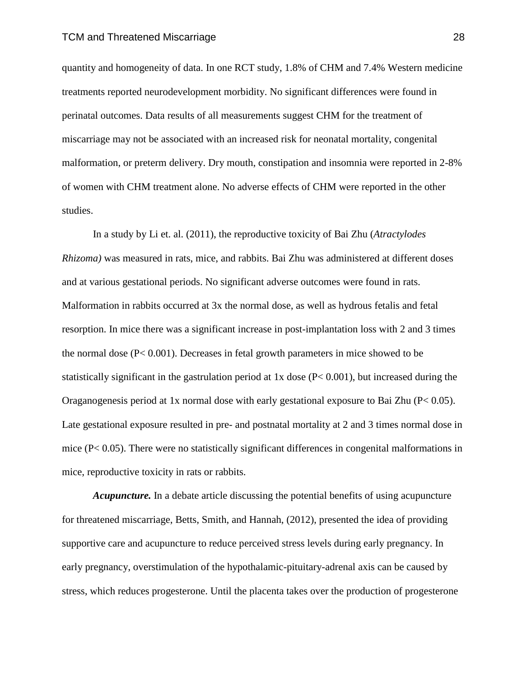quantity and homogeneity of data. In one RCT study, 1.8% of CHM and 7.4% Western medicine treatments reported neurodevelopment morbidity. No significant differences were found in perinatal outcomes. Data results of all measurements suggest CHM for the treatment of miscarriage may not be associated with an increased risk for neonatal mortality, congenital malformation, or preterm delivery. Dry mouth, constipation and insomnia were reported in 2-8% of women with CHM treatment alone. No adverse effects of CHM were reported in the other studies.

In a study by Li et. al. (2011), the reproductive toxicity of Bai Zhu (*Atractylodes Rhizoma)* was measured in rats, mice, and rabbits. Bai Zhu was administered at different doses and at various gestational periods. No significant adverse outcomes were found in rats. Malformation in rabbits occurred at 3x the normal dose, as well as hydrous fetalis and fetal resorption. In mice there was a significant increase in post-implantation loss with 2 and 3 times the normal dose (P< 0.001). Decreases in fetal growth parameters in mice showed to be statistically significant in the gastrulation period at 1x dose (P< 0.001), but increased during the Oraganogenesis period at 1x normal dose with early gestational exposure to Bai Zhu (P< 0.05). Late gestational exposure resulted in pre- and postnatal mortality at 2 and 3 times normal dose in mice  $(P< 0.05)$ . There were no statistically significant differences in congenital malformations in mice, reproductive toxicity in rats or rabbits.

*Acupuncture.* In a debate article discussing the potential benefits of using acupuncture for threatened miscarriage, Betts, Smith, and Hannah, (2012), presented the idea of providing supportive care and acupuncture to reduce perceived stress levels during early pregnancy. In early pregnancy, overstimulation of the hypothalamic-pituitary-adrenal axis can be caused by stress, which reduces progesterone. Until the placenta takes over the production of progesterone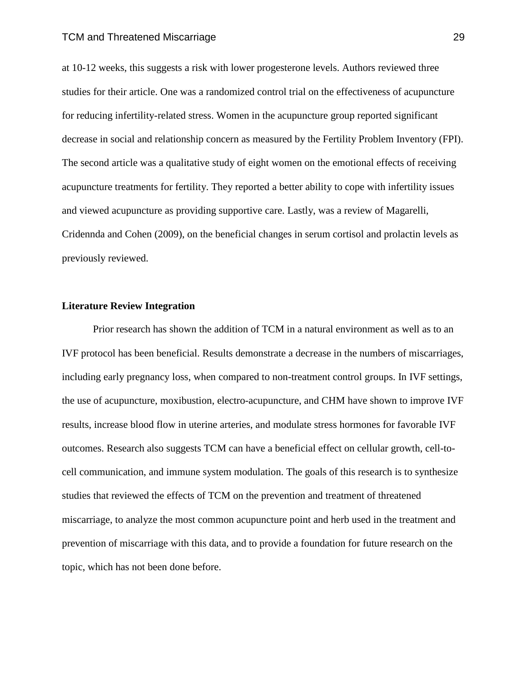at 10-12 weeks, this suggests a risk with lower progesterone levels. Authors reviewed three studies for their article. One was a randomized control trial on the effectiveness of acupuncture for reducing infertility-related stress. Women in the acupuncture group reported significant decrease in social and relationship concern as measured by the Fertility Problem Inventory (FPI). The second article was a qualitative study of eight women on the emotional effects of receiving acupuncture treatments for fertility. They reported a better ability to cope with infertility issues and viewed acupuncture as providing supportive care. Lastly, was a review of Magarelli, Cridennda and Cohen (2009), on the beneficial changes in serum cortisol and prolactin levels as previously reviewed.

#### **Literature Review Integration**

Prior research has shown the addition of TCM in a natural environment as well as to an IVF protocol has been beneficial. Results demonstrate a decrease in the numbers of miscarriages, including early pregnancy loss, when compared to non-treatment control groups. In IVF settings, the use of acupuncture, moxibustion, electro-acupuncture, and CHM have shown to improve IVF results, increase blood flow in uterine arteries, and modulate stress hormones for favorable IVF outcomes. Research also suggests TCM can have a beneficial effect on cellular growth, cell-tocell communication, and immune system modulation. The goals of this research is to synthesize studies that reviewed the effects of TCM on the prevention and treatment of threatened miscarriage, to analyze the most common acupuncture point and herb used in the treatment and prevention of miscarriage with this data, and to provide a foundation for future research on the topic, which has not been done before.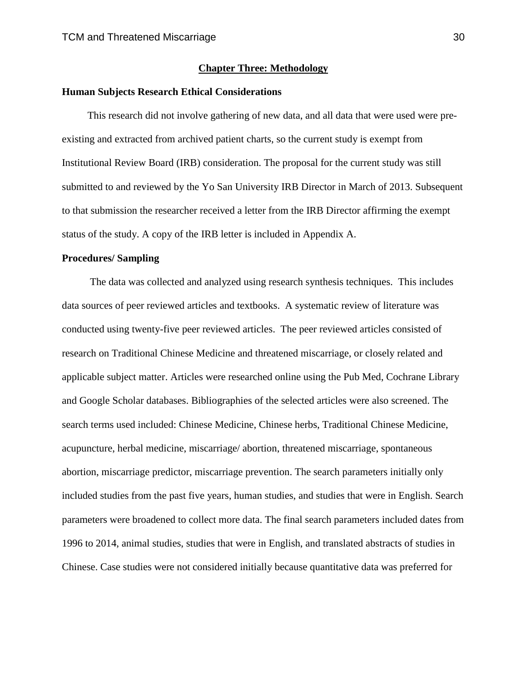#### **Chapter Three: Methodology**

### **Human Subjects Research Ethical Considerations**

 This research did not involve gathering of new data, and all data that were used were preexisting and extracted from archived patient charts, so the current study is exempt from Institutional Review Board (IRB) consideration. The proposal for the current study was still submitted to and reviewed by the Yo San University IRB Director in March of 2013. Subsequent to that submission the researcher received a letter from the IRB Director affirming the exempt status of the study. A copy of the IRB letter is included in Appendix A.

#### **Procedures/ Sampling**

 The data was collected and analyzed using research synthesis techniques. This includes data sources of peer reviewed articles and textbooks. A systematic review of literature was conducted using twenty-five peer reviewed articles. The peer reviewed articles consisted of research on Traditional Chinese Medicine and threatened miscarriage, or closely related and applicable subject matter. Articles were researched online using the Pub Med, Cochrane Library and Google Scholar databases. Bibliographies of the selected articles were also screened. The search terms used included: Chinese Medicine, Chinese herbs, Traditional Chinese Medicine, acupuncture, herbal medicine, miscarriage/ abortion, threatened miscarriage, spontaneous abortion, miscarriage predictor, miscarriage prevention. The search parameters initially only included studies from the past five years, human studies, and studies that were in English. Search parameters were broadened to collect more data. The final search parameters included dates from 1996 to 2014, animal studies, studies that were in English, and translated abstracts of studies in Chinese. Case studies were not considered initially because quantitative data was preferred for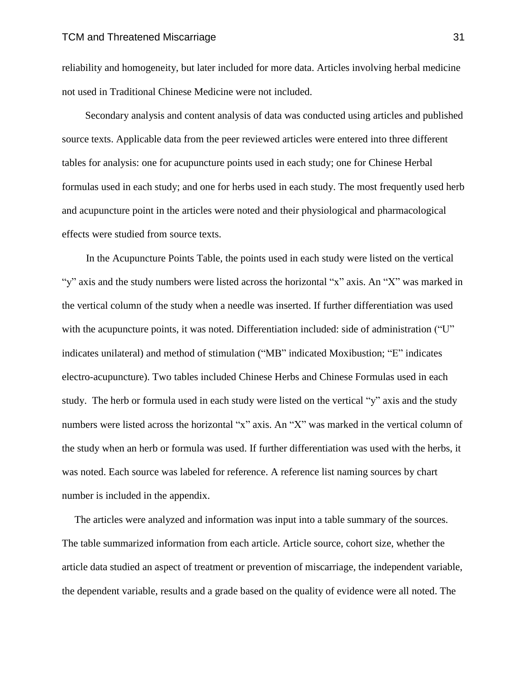reliability and homogeneity, but later included for more data. Articles involving herbal medicine not used in Traditional Chinese Medicine were not included.

 Secondary analysis and content analysis of data was conducted using articles and published source texts. Applicable data from the peer reviewed articles were entered into three different tables for analysis: one for acupuncture points used in each study; one for Chinese Herbal formulas used in each study; and one for herbs used in each study. The most frequently used herb and acupuncture point in the articles were noted and their physiological and pharmacological effects were studied from source texts.

In the Acupuncture Points Table, the points used in each study were listed on the vertical "y" axis and the study numbers were listed across the horizontal "x" axis. An "X" was marked in the vertical column of the study when a needle was inserted. If further differentiation was used with the acupuncture points, it was noted. Differentiation included: side of administration ("U" indicates unilateral) and method of stimulation ("MB" indicated Moxibustion; "E" indicates electro-acupuncture). Two tables included Chinese Herbs and Chinese Formulas used in each study. The herb or formula used in each study were listed on the vertical "y" axis and the study numbers were listed across the horizontal "x" axis. An "X" was marked in the vertical column of the study when an herb or formula was used. If further differentiation was used with the herbs, it was noted. Each source was labeled for reference. A reference list naming sources by chart number is included in the appendix.

The articles were analyzed and information was input into a table summary of the sources. The table summarized information from each article. Article source, cohort size, whether the article data studied an aspect of treatment or prevention of miscarriage, the independent variable, the dependent variable, results and a grade based on the quality of evidence were all noted. The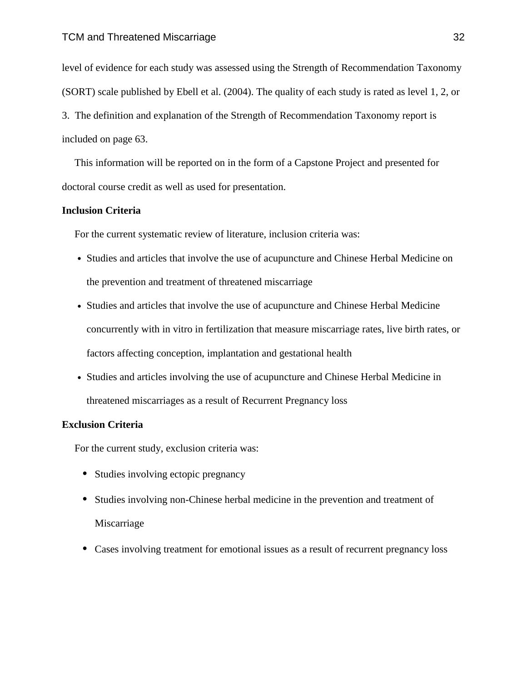level of evidence for each study was assessed using the Strength of Recommendation Taxonomy (SORT) scale published by Ebell et al. (2004). The quality of each study is rated as level 1, 2, or 3. The definition and explanation of the Strength of Recommendation Taxonomy report is included on page 63.

This information will be reported on in the form of a Capstone Project and presented for doctoral course credit as well as used for presentation.

### **Inclusion Criteria**

For the current systematic review of literature, inclusion criteria was:

- **•** Studies and articles that involve the use of acupuncture and Chinese Herbal Medicine on the prevention and treatment of threatened miscarriage
- **•** Studies and articles that involve the use of acupuncture and Chinese Herbal Medicine concurrently with in vitro in fertilization that measure miscarriage rates, live birth rates, or factors affecting conception, implantation and gestational health
- **•** Studies and articles involving the use of acupuncture and Chinese Herbal Medicine in threatened miscarriages as a result of Recurrent Pregnancy loss

### **Exclusion Criteria**

For the current study, exclusion criteria was:

- Studies involving ectopic pregnancy
- **•** Studies involving non-Chinese herbal medicine in the prevention and treatment of Miscarriage
- Cases involving treatment for emotional issues as a result of recurrent pregnancy loss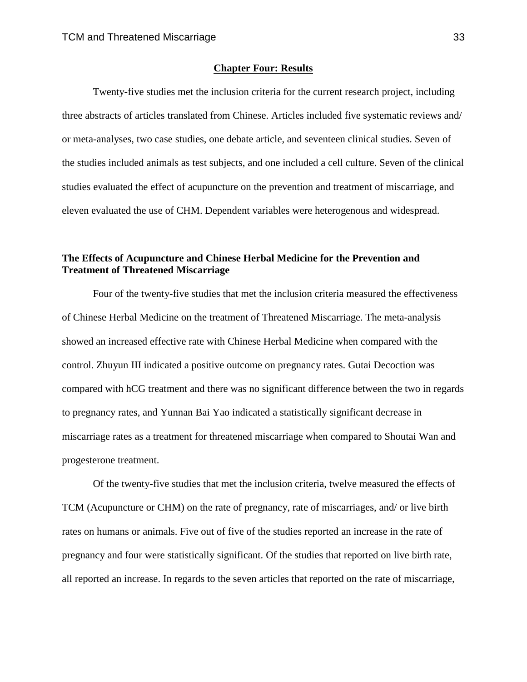### **Chapter Four: Results**

Twenty-five studies met the inclusion criteria for the current research project, including three abstracts of articles translated from Chinese. Articles included five systematic reviews and/ or meta-analyses, two case studies, one debate article, and seventeen clinical studies. Seven of the studies included animals as test subjects, and one included a cell culture. Seven of the clinical studies evaluated the effect of acupuncture on the prevention and treatment of miscarriage, and eleven evaluated the use of CHM. Dependent variables were heterogenous and widespread.

### **The Effects of Acupuncture and Chinese Herbal Medicine for the Prevention and Treatment of Threatened Miscarriage**

Four of the twenty-five studies that met the inclusion criteria measured the effectiveness of Chinese Herbal Medicine on the treatment of Threatened Miscarriage. The meta-analysis showed an increased effective rate with Chinese Herbal Medicine when compared with the control. Zhuyun III indicated a positive outcome on pregnancy rates. Gutai Decoction was compared with hCG treatment and there was no significant difference between the two in regards to pregnancy rates, and Yunnan Bai Yao indicated a statistically significant decrease in miscarriage rates as a treatment for threatened miscarriage when compared to Shoutai Wan and progesterone treatment.

Of the twenty-five studies that met the inclusion criteria, twelve measured the effects of TCM (Acupuncture or CHM) on the rate of pregnancy, rate of miscarriages, and/ or live birth rates on humans or animals. Five out of five of the studies reported an increase in the rate of pregnancy and four were statistically significant. Of the studies that reported on live birth rate, all reported an increase. In regards to the seven articles that reported on the rate of miscarriage,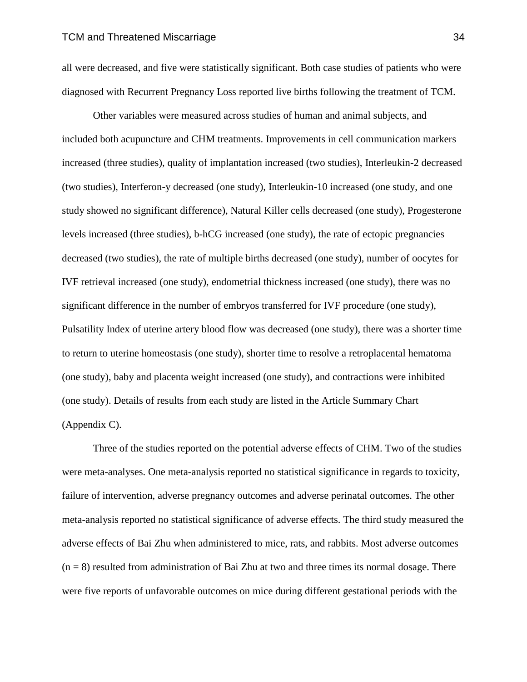all were decreased, and five were statistically significant. Both case studies of patients who were diagnosed with Recurrent Pregnancy Loss reported live births following the treatment of TCM.

Other variables were measured across studies of human and animal subjects, and included both acupuncture and CHM treatments. Improvements in cell communication markers increased (three studies), quality of implantation increased (two studies), Interleukin-2 decreased (two studies), Interferon-y decreased (one study), Interleukin-10 increased (one study, and one study showed no significant difference), Natural Killer cells decreased (one study), Progesterone levels increased (three studies), b-hCG increased (one study), the rate of ectopic pregnancies decreased (two studies), the rate of multiple births decreased (one study), number of oocytes for IVF retrieval increased (one study), endometrial thickness increased (one study), there was no significant difference in the number of embryos transferred for IVF procedure (one study), Pulsatility Index of uterine artery blood flow was decreased (one study), there was a shorter time to return to uterine homeostasis (one study), shorter time to resolve a retroplacental hematoma (one study), baby and placenta weight increased (one study), and contractions were inhibited (one study). Details of results from each study are listed in the Article Summary Chart (Appendix C).

Three of the studies reported on the potential adverse effects of CHM. Two of the studies were meta-analyses. One meta-analysis reported no statistical significance in regards to toxicity, failure of intervention, adverse pregnancy outcomes and adverse perinatal outcomes. The other meta-analysis reported no statistical significance of adverse effects. The third study measured the adverse effects of Bai Zhu when administered to mice, rats, and rabbits. Most adverse outcomes  $(n = 8)$  resulted from administration of Bai Zhu at two and three times its normal dosage. There were five reports of unfavorable outcomes on mice during different gestational periods with the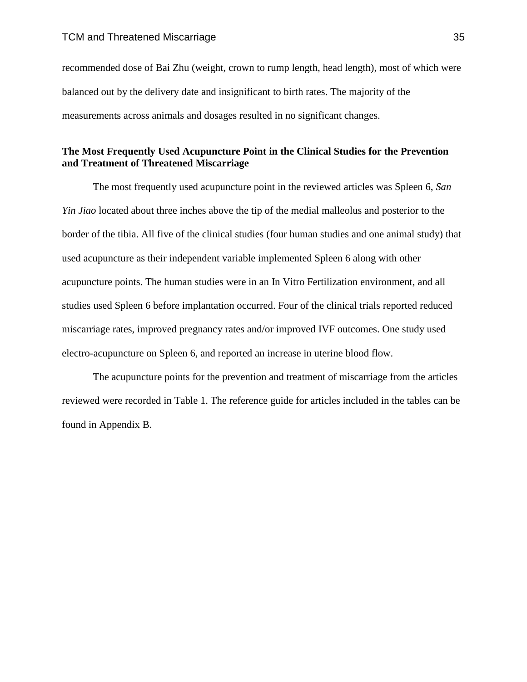recommended dose of Bai Zhu (weight, crown to rump length, head length), most of which were balanced out by the delivery date and insignificant to birth rates. The majority of the measurements across animals and dosages resulted in no significant changes.

### **The Most Frequently Used Acupuncture Point in the Clinical Studies for the Prevention and Treatment of Threatened Miscarriage**

The most frequently used acupuncture point in the reviewed articles was Spleen 6, *San Yin Jiao* located about three inches above the tip of the medial malleolus and posterior to the border of the tibia. All five of the clinical studies (four human studies and one animal study) that used acupuncture as their independent variable implemented Spleen 6 along with other acupuncture points. The human studies were in an In Vitro Fertilization environment, and all studies used Spleen 6 before implantation occurred. Four of the clinical trials reported reduced miscarriage rates, improved pregnancy rates and/or improved IVF outcomes. One study used electro-acupuncture on Spleen 6, and reported an increase in uterine blood flow.

The acupuncture points for the prevention and treatment of miscarriage from the articles reviewed were recorded in Table 1. The reference guide for articles included in the tables can be found in Appendix B.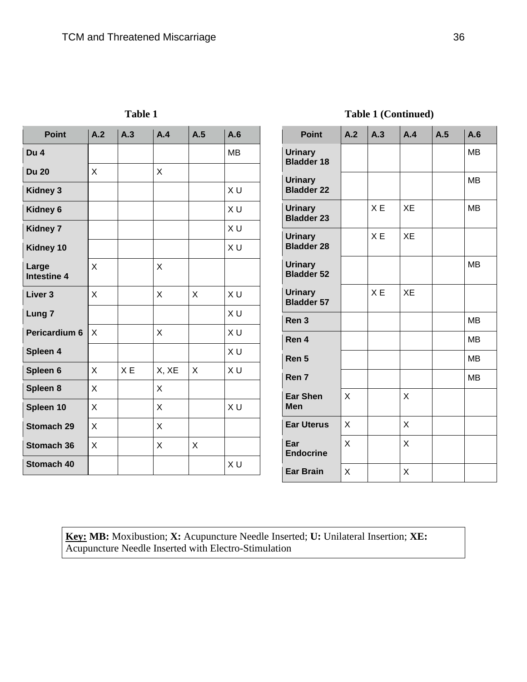**Table 1**

| <b>Point</b>                | A.2 | A.3            | A.4   | A.5 | A.6       |
|-----------------------------|-----|----------------|-------|-----|-----------|
| Du 4                        |     |                |       |     | <b>MB</b> |
| <b>Du 20</b>                | X   |                | X     |     |           |
| <b>Kidney 3</b>             |     |                |       |     | X U       |
| Kidney 6                    |     |                |       |     | XU        |
| <b>Kidney 7</b>             |     |                |       |     | XU        |
| Kidney 10                   |     |                |       |     | XU        |
| Large<br><b>Intestine 4</b> | X   |                | X     |     |           |
| Liver <sub>3</sub>          | X   |                | X     | X   | X U       |
| Lung <sub>7</sub>           |     |                |       |     | XU        |
| Pericardium 6               | X   |                | X     |     | XU        |
| Spleen 4                    |     |                |       |     | XU        |
| Spleen 6                    | X   | X <sub>E</sub> | X, XE | X   | XU        |
| Spleen 8                    | X   |                | X     |     |           |
| Spleen 10                   | X   |                | X     |     | XU        |
| Stomach 29                  | X   |                | X     |     |           |
| <b>Stomach 36</b>           | X   |                | X     | X   |           |
| <b>Stomach 40</b>           |     |                |       |     | XU        |

### **Table 1 (Continued)**

| <b>Point</b>                        | A.2 | A.3 | A.4       | A.5 | A.6       |
|-------------------------------------|-----|-----|-----------|-----|-----------|
| <b>Urinary</b><br><b>Bladder 18</b> |     |     |           |     | MB        |
| Urinary<br><b>Bladder 22</b>        |     |     |           |     | <b>MB</b> |
| Urinary<br><b>Bladder 23</b>        |     | XE  | XE        |     | <b>MB</b> |
| <b>Urinary</b><br><b>Bladder 28</b> |     | XE  | XE        |     |           |
| Urinary<br><b>Bladder 52</b>        |     |     |           |     | <b>MB</b> |
| <b>Urinary</b><br><b>Bladder 57</b> |     | X E | <b>XE</b> |     |           |
| Ren <sub>3</sub>                    |     |     |           |     | <b>MB</b> |
| Ren 4                               |     |     |           |     | <b>MB</b> |
| Ren 5                               |     |     |           |     | <b>MB</b> |
| Ren 7                               |     |     |           |     | MВ        |
| Ear Shen<br>Men                     | X   |     | X         |     |           |
| <b>Ear Uterus</b>                   | X   |     | X         |     |           |
| Ear<br><b>Endocrine</b>             | Χ   |     | X         |     |           |
| Ear Brain                           | X   |     | Χ         |     |           |

**Key: MB:** Moxibustion; **X:** Acupuncture Needle Inserted; **U:** Unilateral Insertion; **XE:** Acupuncture Needle Inserted with Electro-Stimulation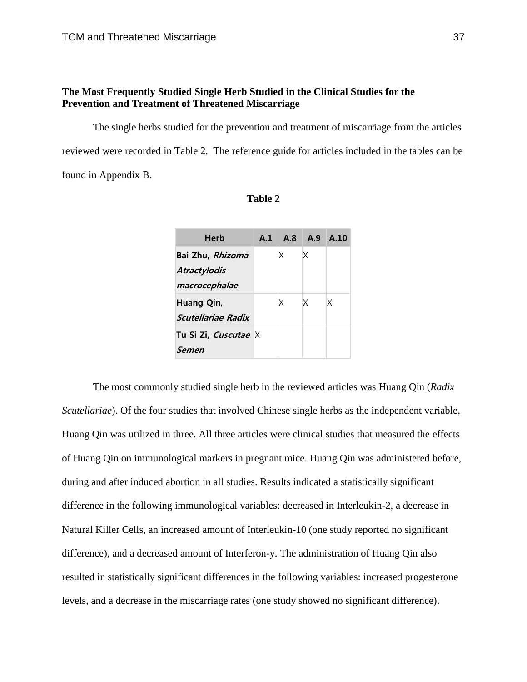### **The Most Frequently Studied Single Herb Studied in the Clinical Studies for the Prevention and Treatment of Threatened Miscarriage**

The single herbs studied for the prevention and treatment of miscarriage from the articles reviewed were recorded in Table 2. The reference guide for articles included in the tables can be found in Appendix B.

| Herb                                                     | A.1 A.8 A.9 A.10 |    |   |
|----------------------------------------------------------|------------------|----|---|
| Bai Zhu, Rhizoma<br><b>Atractylodis</b><br>macrocephalae | Χ                | Χ  |   |
| Huang Qin,<br>Scutellariae Radix                         | X.               | X. | X |
| Tu Si Zi, Cuscutae X<br>Semen                            |                  |    |   |

**Table 2**

The most commonly studied single herb in the reviewed articles was Huang Qin (*Radix Scutellariae*). Of the four studies that involved Chinese single herbs as the independent variable, Huang Qin was utilized in three. All three articles were clinical studies that measured the effects of Huang Qin on immunological markers in pregnant mice. Huang Qin was administered before, during and after induced abortion in all studies. Results indicated a statistically significant difference in the following immunological variables: decreased in Interleukin-2, a decrease in Natural Killer Cells, an increased amount of Interleukin-10 (one study reported no significant difference), and a decreased amount of Interferon-y. The administration of Huang Qin also resulted in statistically significant differences in the following variables: increased progesterone levels, and a decrease in the miscarriage rates (one study showed no significant difference).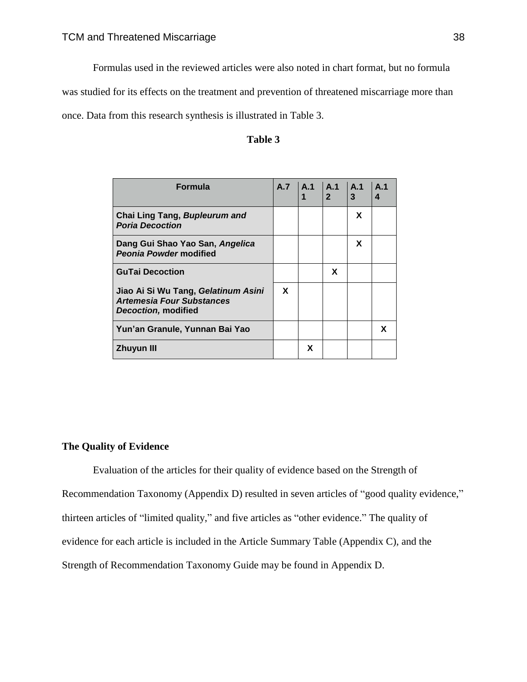Formulas used in the reviewed articles were also noted in chart format, but no formula

was studied for its effects on the treatment and prevention of threatened miscarriage more than

once. Data from this research synthesis is illustrated in Table 3.

### **Table 3**

| <b>Formula</b>                                                                                 | <b>A.7</b> | A.1 | $\mathsf{A}.1$<br>2 <sup>1</sup> | $\mathsf{A}.1$<br>3 | A <sub>1</sub><br>4 |
|------------------------------------------------------------------------------------------------|------------|-----|----------------------------------|---------------------|---------------------|
| Chai Ling Tang, Bupleurum and<br><b>Poria Decoction</b>                                        |            |     |                                  | X                   |                     |
| Dang Gui Shao Yao San, Angelica<br><b>Peonia Powder modified</b>                               |            |     |                                  | X                   |                     |
| <b>GuTai Decoction</b>                                                                         |            |     | X                                |                     |                     |
| Jiao Ai Si Wu Tang, Gelatinum Asini<br><b>Artemesia Four Substances</b><br>Decoction, modified | X          |     |                                  |                     |                     |
| Yun'an Granule, Yunnan Bai Yao                                                                 |            |     |                                  |                     | x                   |
| <b>Zhuyun III</b>                                                                              |            | x   |                                  |                     |                     |

### **The Quality of Evidence**

Evaluation of the articles for their quality of evidence based on the Strength of Recommendation Taxonomy (Appendix D) resulted in seven articles of "good quality evidence," thirteen articles of "limited quality," and five articles as "other evidence." The quality of evidence for each article is included in the Article Summary Table (Appendix C), and the Strength of Recommendation Taxonomy Guide may be found in Appendix D.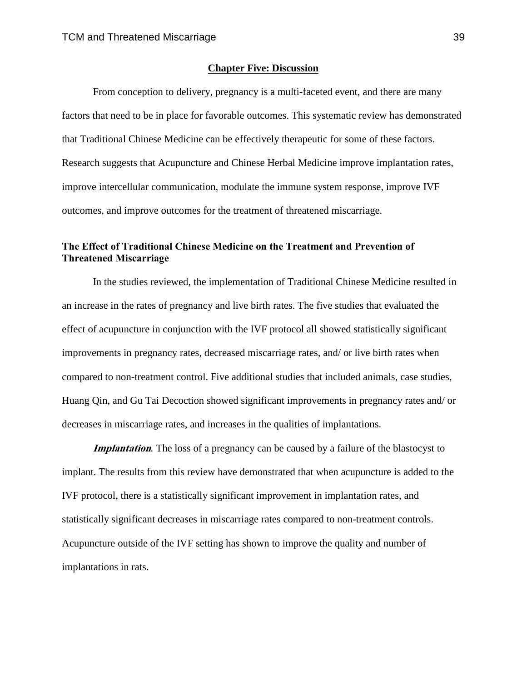#### **Chapter Five: Discussion**

From conception to delivery, pregnancy is a multi-faceted event, and there are many factors that need to be in place for favorable outcomes. This systematic review has demonstrated that Traditional Chinese Medicine can be effectively therapeutic for some of these factors. Research suggests that Acupuncture and Chinese Herbal Medicine improve implantation rates, improve intercellular communication, modulate the immune system response, improve IVF outcomes, and improve outcomes for the treatment of threatened miscarriage.

### **The Effect of Traditional Chinese Medicine on the Treatment and Prevention of Threatened Miscarriage**

In the studies reviewed, the implementation of Traditional Chinese Medicine resulted in an increase in the rates of pregnancy and live birth rates. The five studies that evaluated the effect of acupuncture in conjunction with the IVF protocol all showed statistically significant improvements in pregnancy rates, decreased miscarriage rates, and/ or live birth rates when compared to non-treatment control. Five additional studies that included animals, case studies, Huang Qin, and Gu Tai Decoction showed significant improvements in pregnancy rates and/ or decreases in miscarriage rates, and increases in the qualities of implantations.

**Implantation**. The loss of a pregnancy can be caused by a failure of the blastocyst to implant. The results from this review have demonstrated that when acupuncture is added to the IVF protocol, there is a statistically significant improvement in implantation rates, and statistically significant decreases in miscarriage rates compared to non-treatment controls. Acupuncture outside of the IVF setting has shown to improve the quality and number of implantations in rats.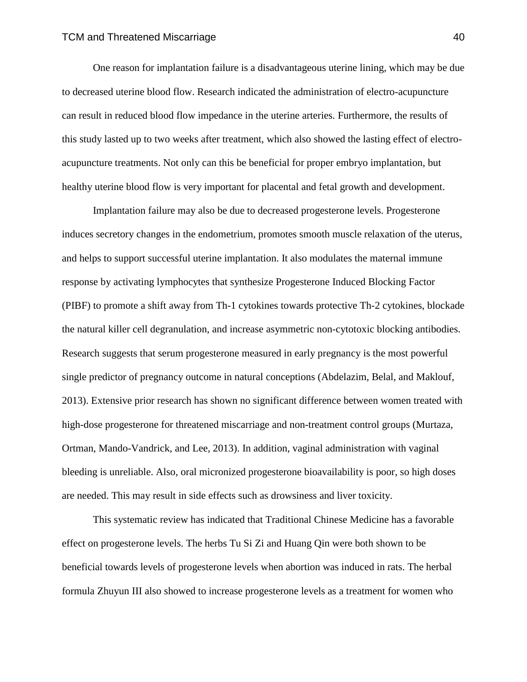One reason for implantation failure is a disadvantageous uterine lining, which may be due to decreased uterine blood flow. Research indicated the administration of electro-acupuncture can result in reduced blood flow impedance in the uterine arteries. Furthermore, the results of this study lasted up to two weeks after treatment, which also showed the lasting effect of electroacupuncture treatments. Not only can this be beneficial for proper embryo implantation, but healthy uterine blood flow is very important for placental and fetal growth and development.

Implantation failure may also be due to decreased progesterone levels. Progesterone induces secretory changes in the endometrium, promotes smooth muscle relaxation of the uterus, and helps to support successful uterine implantation. It also modulates the maternal immune response by activating lymphocytes that synthesize Progesterone Induced Blocking Factor (PIBF) to promote a shift away from Th-1 cytokines towards protective Th-2 cytokines, blockade the natural killer cell degranulation, and increase asymmetric non-cytotoxic blocking antibodies. Research suggests that serum progesterone measured in early pregnancy is the most powerful single predictor of pregnancy outcome in natural conceptions (Abdelazim, Belal, and Maklouf, 2013). Extensive prior research has shown no significant difference between women treated with high-dose progesterone for threatened miscarriage and non-treatment control groups (Murtaza, Ortman, Mando-Vandrick, and Lee, 2013). In addition, vaginal administration with vaginal bleeding is unreliable. Also, oral micronized progesterone bioavailability is poor, so high doses are needed. This may result in side effects such as drowsiness and liver toxicity.

This systematic review has indicated that Traditional Chinese Medicine has a favorable effect on progesterone levels. The herbs Tu Si Zi and Huang Qin were both shown to be beneficial towards levels of progesterone levels when abortion was induced in rats. The herbal formula Zhuyun III also showed to increase progesterone levels as a treatment for women who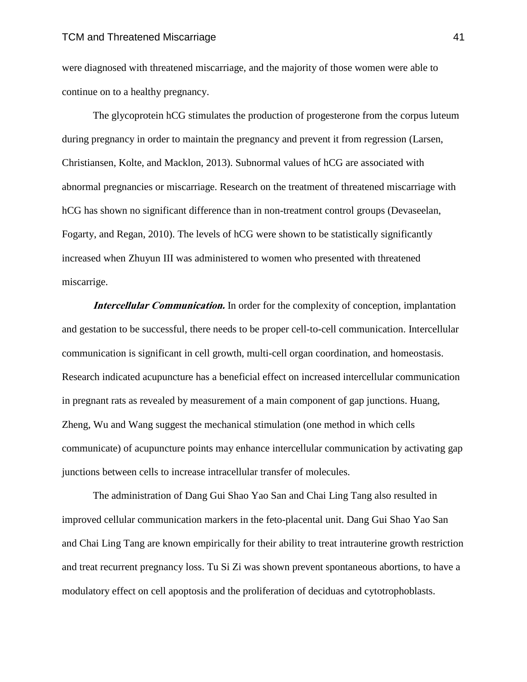were diagnosed with threatened miscarriage, and the majority of those women were able to continue on to a healthy pregnancy.

The glycoprotein hCG stimulates the production of progesterone from the corpus luteum during pregnancy in order to maintain the pregnancy and prevent it from regression (Larsen, Christiansen, Kolte, and Macklon, 2013). Subnormal values of hCG are associated with abnormal pregnancies or miscarriage. Research on the treatment of threatened miscarriage with hCG has shown no significant difference than in non-treatment control groups (Devaseelan, Fogarty, and Regan, 2010). The levels of hCG were shown to be statistically significantly increased when Zhuyun III was administered to women who presented with threatened miscarrige.

**Intercellular Communication.** In order for the complexity of conception, implantation and gestation to be successful, there needs to be proper cell-to-cell communication. Intercellular communication is significant in cell growth, multi-cell organ coordination, and homeostasis. Research indicated acupuncture has a beneficial effect on increased intercellular communication in pregnant rats as revealed by measurement of a main component of gap junctions. Huang, Zheng, Wu and Wang suggest the mechanical stimulation (one method in which cells communicate) of acupuncture points may enhance intercellular communication by activating gap junctions between cells to increase intracellular transfer of molecules.

The administration of Dang Gui Shao Yao San and Chai Ling Tang also resulted in improved cellular communication markers in the feto-placental unit. Dang Gui Shao Yao San and Chai Ling Tang are known empirically for their ability to treat intrauterine growth restriction and treat recurrent pregnancy loss. Tu Si Zi was shown prevent spontaneous abortions, to have a modulatory effect on cell apoptosis and the proliferation of deciduas and cytotrophoblasts.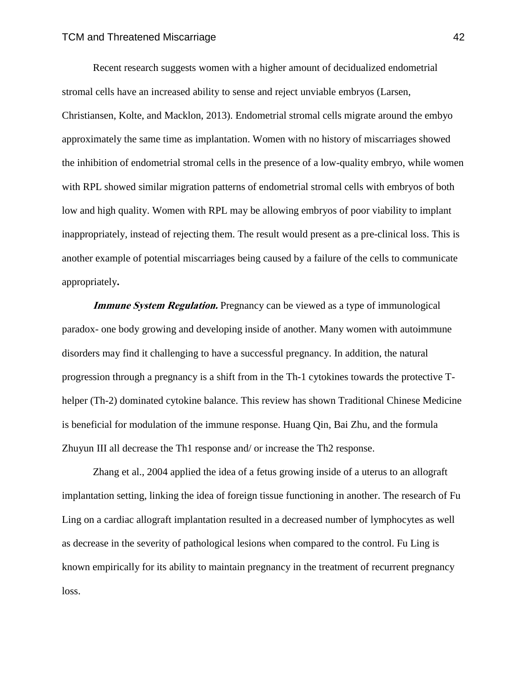Recent research suggests women with a higher amount of decidualized endometrial stromal cells have an increased ability to sense and reject unviable embryos (Larsen, Christiansen, Kolte, and Macklon, 2013). Endometrial stromal cells migrate around the embyo approximately the same time as implantation. Women with no history of miscarriages showed the inhibition of endometrial stromal cells in the presence of a low-quality embryo, while women with RPL showed similar migration patterns of endometrial stromal cells with embryos of both low and high quality. Women with RPL may be allowing embryos of poor viability to implant inappropriately, instead of rejecting them. The result would present as a pre-clinical loss. This is another example of potential miscarriages being caused by a failure of the cells to communicate appropriately**.**

**Immune System Regulation.** Pregnancy can be viewed as a type of immunological paradox- one body growing and developing inside of another. Many women with autoimmune disorders may find it challenging to have a successful pregnancy. In addition, the natural progression through a pregnancy is a shift from in the Th-1 cytokines towards the protective Thelper (Th-2) dominated cytokine balance. This review has shown Traditional Chinese Medicine is beneficial for modulation of the immune response. Huang Qin, Bai Zhu, and the formula Zhuyun III all decrease the Th1 response and/ or increase the Th2 response.

Zhang et al., 2004 applied the idea of a fetus growing inside of a uterus to an allograft implantation setting, linking the idea of foreign tissue functioning in another. The research of Fu Ling on a cardiac allograft implantation resulted in a decreased number of lymphocytes as well as decrease in the severity of pathological lesions when compared to the control. Fu Ling is known empirically for its ability to maintain pregnancy in the treatment of recurrent pregnancy loss.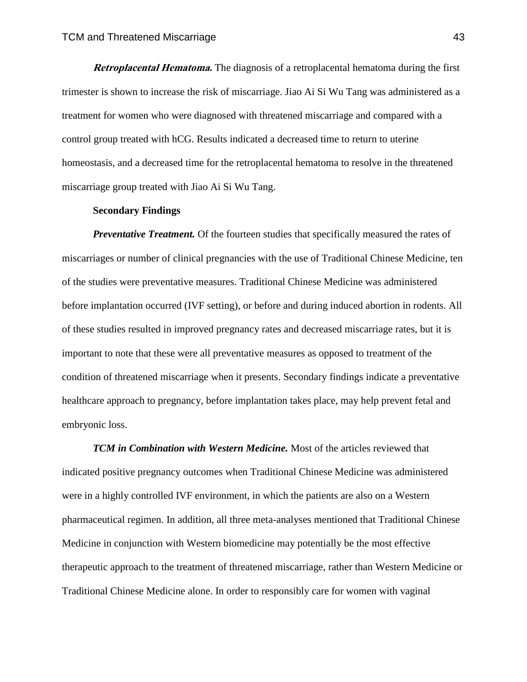**Retroplacental Hematoma.** The diagnosis of a retroplacental hematoma during the first trimester is shown to increase the risk of miscarriage. Jiao Ai Si Wu Tang was administered as a treatment for women who were diagnosed with threatened miscarriage and compared with a control group treated with hCG. Results indicated a decreased time to return to uterine homeostasis, and a decreased time for the retroplacental hematoma to resolve in the threatened miscarriage group treated with Jiao Ai Si Wu Tang.

#### **Secondary Findings**

*Preventative Treatment.* Of the fourteen studies that specifically measured the rates of miscarriages or number of clinical pregnancies with the use of Traditional Chinese Medicine, ten of the studies were preventative measures. Traditional Chinese Medicine was administered before implantation occurred (IVF setting), or before and during induced abortion in rodents. All of these studies resulted in improved pregnancy rates and decreased miscarriage rates, but it is important to note that these were all preventative measures as opposed to treatment of the condition of threatened miscarriage when it presents. Secondary findings indicate a preventative healthcare approach to pregnancy, before implantation takes place, may help prevent fetal and embryonic loss.

*TCM in Combination with Western Medicine.* Most of the articles reviewed that indicated positive pregnancy outcomes when Traditional Chinese Medicine was administered were in a highly controlled IVF environment, in which the patients are also on a Western pharmaceutical regimen. In addition, all three meta-analyses mentioned that Traditional Chinese Medicine in conjunction with Western biomedicine may potentially be the most effective therapeutic approach to the treatment of threatened miscarriage, rather than Western Medicine or Traditional Chinese Medicine alone. In order to responsibly care for women with vaginal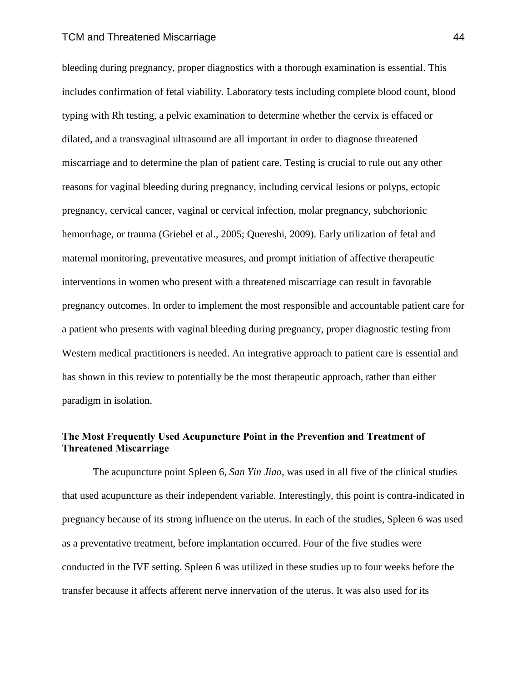#### TCM and Threatened Miscarriage 44

bleeding during pregnancy, proper diagnostics with a thorough examination is essential. This includes confirmation of fetal viability. Laboratory tests including complete blood count, blood typing with Rh testing, a pelvic examination to determine whether the cervix is effaced or dilated, and a transvaginal ultrasound are all important in order to diagnose threatened miscarriage and to determine the plan of patient care. Testing is crucial to rule out any other reasons for vaginal bleeding during pregnancy, including cervical lesions or polyps, ectopic pregnancy, cervical cancer, vaginal or cervical infection, molar pregnancy, subchorionic hemorrhage, or trauma (Griebel et al., 2005; Quereshi, 2009). Early utilization of fetal and maternal monitoring, preventative measures, and prompt initiation of affective therapeutic interventions in women who present with a threatened miscarriage can result in favorable pregnancy outcomes. In order to implement the most responsible and accountable patient care for a patient who presents with vaginal bleeding during pregnancy, proper diagnostic testing from Western medical practitioners is needed. An integrative approach to patient care is essential and has shown in this review to potentially be the most therapeutic approach, rather than either paradigm in isolation.

### **The Most Frequently Used Acupuncture Point in the Prevention and Treatment of Threatened Miscarriage**

The acupuncture point Spleen 6, *San Yin Jiao,* was used in all five of the clinical studies that used acupuncture as their independent variable. Interestingly, this point is contra-indicated in pregnancy because of its strong influence on the uterus. In each of the studies, Spleen 6 was used as a preventative treatment, before implantation occurred. Four of the five studies were conducted in the IVF setting. Spleen 6 was utilized in these studies up to four weeks before the transfer because it affects afferent nerve innervation of the uterus. It was also used for its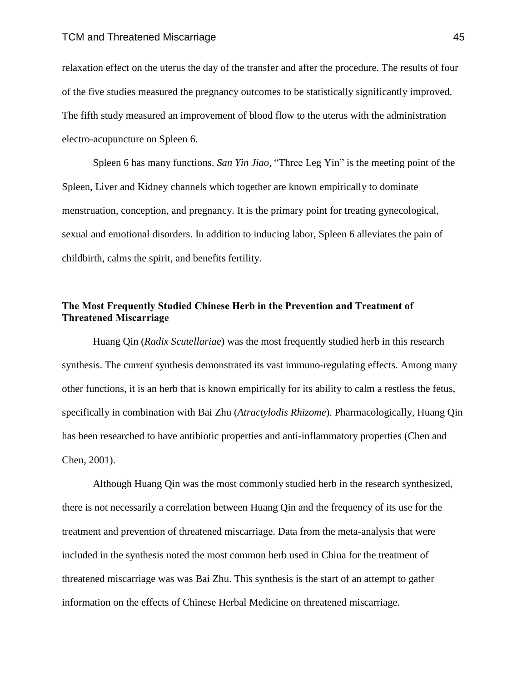relaxation effect on the uterus the day of the transfer and after the procedure. The results of four of the five studies measured the pregnancy outcomes to be statistically significantly improved. The fifth study measured an improvement of blood flow to the uterus with the administration electro-acupuncture on Spleen 6.

Spleen 6 has many functions. *San Yin Jiao,* "Three Leg Yin" is the meeting point of the Spleen, Liver and Kidney channels which together are known empirically to dominate menstruation, conception, and pregnancy. It is the primary point for treating gynecological, sexual and emotional disorders. In addition to inducing labor, Spleen 6 alleviates the pain of childbirth, calms the spirit, and benefits fertility.

### **The Most Frequently Studied Chinese Herb in the Prevention and Treatment of Threatened Miscarriage**

Huang Qin (*Radix Scutellariae*) was the most frequently studied herb in this research synthesis. The current synthesis demonstrated its vast immuno-regulating effects. Among many other functions, it is an herb that is known empirically for its ability to calm a restless the fetus, specifically in combination with Bai Zhu (*Atractylodis Rhizome*). Pharmacologically, Huang Qin has been researched to have antibiotic properties and anti-inflammatory properties (Chen and Chen, 2001).

Although Huang Qin was the most commonly studied herb in the research synthesized, there is not necessarily a correlation between Huang Qin and the frequency of its use for the treatment and prevention of threatened miscarriage. Data from the meta-analysis that were included in the synthesis noted the most common herb used in China for the treatment of threatened miscarriage was was Bai Zhu. This synthesis is the start of an attempt to gather information on the effects of Chinese Herbal Medicine on threatened miscarriage.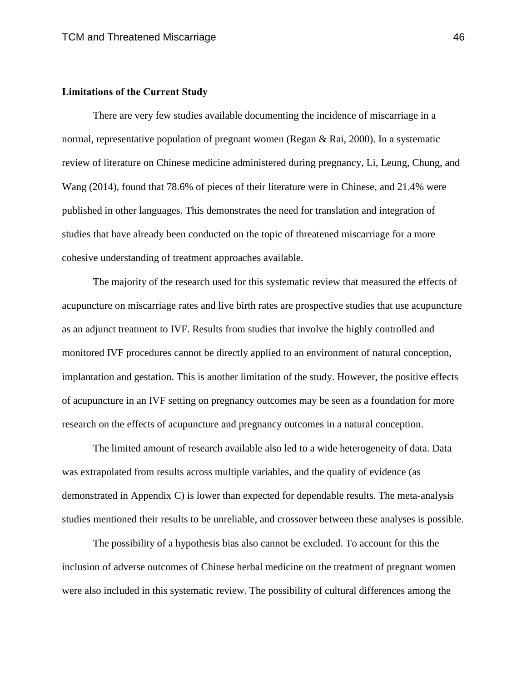#### **Limitations of the Current Study**

There are very few studies available documenting the incidence of miscarriage in a normal, representative population of pregnant women (Regan & Rai, 2000). In a systematic review of literature on Chinese medicine administered during pregnancy, Li, Leung, Chung, and Wang (2014), found that 78.6% of pieces of their literature were in Chinese, and 21.4% were published in other languages. This demonstrates the need for translation and integration of studies that have already been conducted on the topic of threatened miscarriage for a more cohesive understanding of treatment approaches available.

The majority of the research used for this systematic review that measured the effects of acupuncture on miscarriage rates and live birth rates are prospective studies that use acupuncture as an adjunct treatment to IVF. Results from studies that involve the highly controlled and monitored IVF procedures cannot be directly applied to an environment of natural conception, implantation and gestation. This is another limitation of the study. However, the positive effects of acupuncture in an IVF setting on pregnancy outcomes may be seen as a foundation for more research on the effects of acupuncture and pregnancy outcomes in a natural conception.

The limited amount of research available also led to a wide heterogeneity of data. Data was extrapolated from results across multiple variables, and the quality of evidence (as demonstrated in Appendix C) is lower than expected for dependable results. The meta-analysis studies mentioned their results to be unreliable, and crossover between these analyses is possible.

The possibility of a hypothesis bias also cannot be excluded. To account for this the inclusion of adverse outcomes of Chinese herbal medicine on the treatment of pregnant women were also included in this systematic review. The possibility of cultural differences among the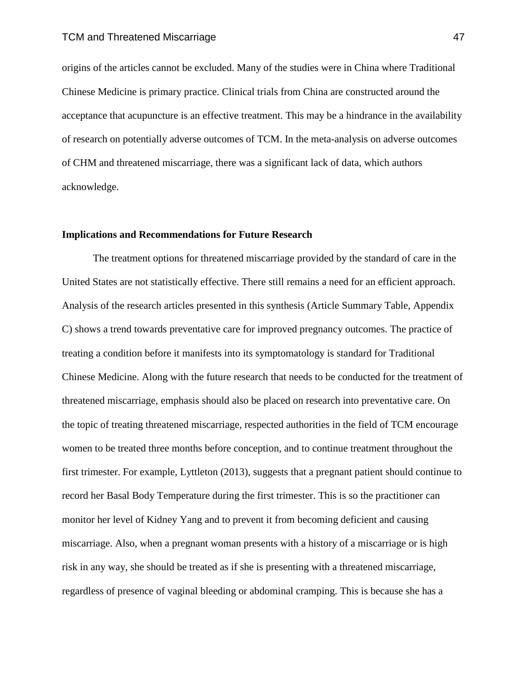origins of the articles cannot be excluded. Many of the studies were in China where Traditional Chinese Medicine is primary practice. Clinical trials from China are constructed around the acceptance that acupuncture is an effective treatment. This may be a hindrance in the availability of research on potentially adverse outcomes of TCM. In the meta-analysis on adverse outcomes of CHM and threatened miscarriage, there was a significant lack of data, which authors acknowledge.

### **Implications and Recommendations for Future Research**

The treatment options for threatened miscarriage provided by the standard of care in the United States are not statistically effective. There still remains a need for an efficient approach. Analysis of the research articles presented in this synthesis (Article Summary Table, Appendix C) shows a trend towards preventative care for improved pregnancy outcomes. The practice of treating a condition before it manifests into its symptomatology is standard for Traditional Chinese Medicine. Along with the future research that needs to be conducted for the treatment of threatened miscarriage, emphasis should also be placed on research into preventative care. On the topic of treating threatened miscarriage, respected authorities in the field of TCM encourage women to be treated three months before conception, and to continue treatment throughout the first trimester. For example, Lyttleton (2013), suggests that a pregnant patient should continue to record her Basal Body Temperature during the first trimester. This is so the practitioner can monitor her level of Kidney Yang and to prevent it from becoming deficient and causing miscarriage. Also, when a pregnant woman presents with a history of a miscarriage or is high risk in any way, she should be treated as if she is presenting with a threatened miscarriage, regardless of presence of vaginal bleeding or abdominal cramping. This is because she has a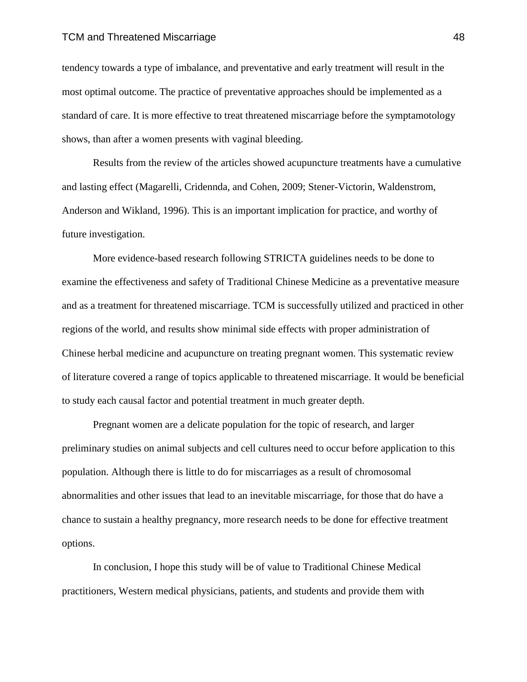#### TCM and Threatened Miscarriage 48

tendency towards a type of imbalance, and preventative and early treatment will result in the most optimal outcome. The practice of preventative approaches should be implemented as a standard of care. It is more effective to treat threatened miscarriage before the symptamotology shows, than after a women presents with vaginal bleeding.

Results from the review of the articles showed acupuncture treatments have a cumulative and lasting effect (Magarelli, Cridennda, and Cohen, 2009; Stener-Victorin, Waldenstrom, Anderson and Wikland, 1996). This is an important implication for practice, and worthy of future investigation.

More evidence-based research following STRICTA guidelines needs to be done to examine the effectiveness and safety of Traditional Chinese Medicine as a preventative measure and as a treatment for threatened miscarriage. TCM is successfully utilized and practiced in other regions of the world, and results show minimal side effects with proper administration of Chinese herbal medicine and acupuncture on treating pregnant women. This systematic review of literature covered a range of topics applicable to threatened miscarriage. It would be beneficial to study each causal factor and potential treatment in much greater depth.

Pregnant women are a delicate population for the topic of research, and larger preliminary studies on animal subjects and cell cultures need to occur before application to this population. Although there is little to do for miscarriages as a result of chromosomal abnormalities and other issues that lead to an inevitable miscarriage, for those that do have a chance to sustain a healthy pregnancy, more research needs to be done for effective treatment options.

In conclusion, I hope this study will be of value to Traditional Chinese Medical practitioners, Western medical physicians, patients, and students and provide them with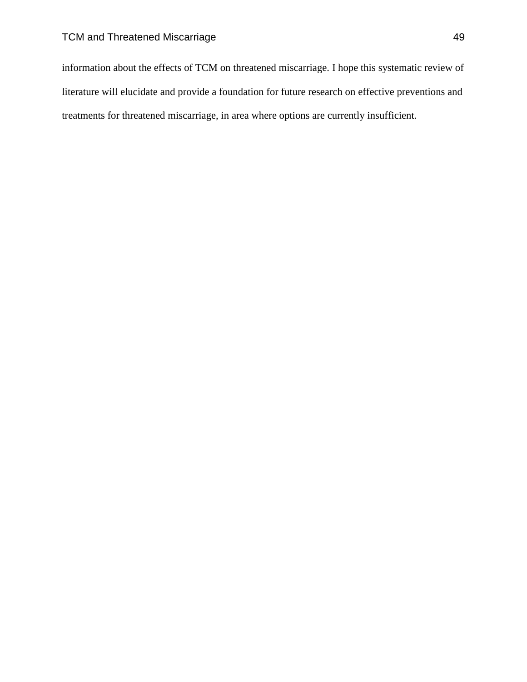information about the effects of TCM on threatened miscarriage. I hope this systematic review of literature will elucidate and provide a foundation for future research on effective preventions and treatments for threatened miscarriage, in area where options are currently insufficient.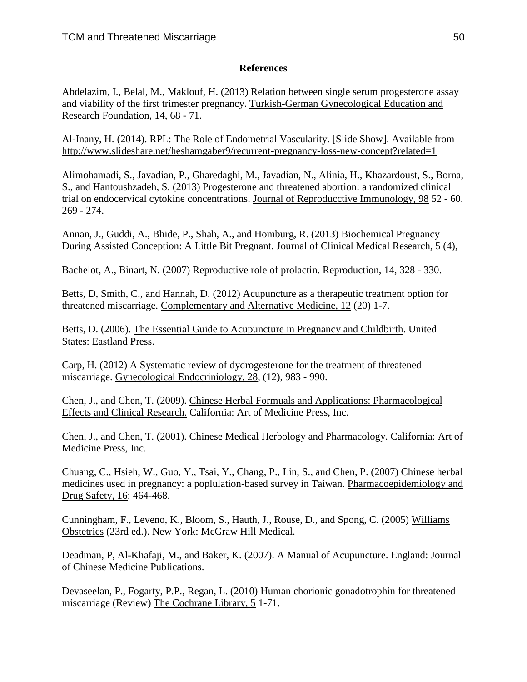## **References**

Abdelazim, I., Belal, M., Maklouf, H. (2013) Relation between single serum progesterone assay and viability of the first trimester pregnancy. Turkish-German Gynecological Education and Research Foundation, 14, 68 - 71.

Al-Inany, H. (2014). RPL: The Role of Endometrial Vascularity. [Slide Show]. Available from <http://www.slideshare.net/heshamgaber9/recurrent-pregnancy-loss-new-concept?related=1>

Alimohamadi, S., Javadian, P., Gharedaghi, M., Javadian, N., Alinia, H., Khazardoust, S., Borna, S., and Hantoushzadeh, S. (2013) Progesterone and threatened abortion: a randomized clinical trial on endocervical cytokine concentrations. Journal of Reproducctive Immunology, 98 52 - 60. 269 - 274.

Annan, J., Guddi, A., Bhide, P., Shah, A., and Homburg, R. (2013) Biochemical Pregnancy During Assisted Conception: A Little Bit Pregnant. Journal of Clinical Medical Research, 5 (4),

Bachelot, A., Binart, N. (2007) Reproductive role of prolactin. Reproduction, 14, 328 - 330.

Betts, D, Smith, C., and Hannah, D. (2012) Acupuncture as a therapeutic treatment option for threatened miscarriage. Complementary and Alternative Medicine, 12 (20) 1-7.

Betts, D. (2006). The Essential Guide to Acupuncture in Pregnancy and Childbirth. United States: Eastland Press.

Carp, H. (2012) A Systematic review of dydrogesterone for the treatment of threatened miscarriage. Gynecological Endocriniology, 28, (12), 983 - 990.

Chen, J., and Chen, T. (2009). Chinese Herbal Formuals and Applications: Pharmacological Effects and Clinical Research. California: Art of Medicine Press, Inc.

Chen, J., and Chen, T. (2001). Chinese Medical Herbology and Pharmacology. California: Art of Medicine Press, Inc.

Chuang, C., Hsieh, W., Guo, Y., Tsai, Y., Chang, P., Lin, S., and Chen, P. (2007) Chinese herbal medicines used in pregnancy: a poplulation-based survey in Taiwan. Pharmacoepidemiology and Drug Safety, 16: 464-468.

Cunningham, F., Leveno, K., Bloom, S., Hauth, J., Rouse, D., and Spong, C. (2005) Williams Obstetrics (23rd ed.). New York: McGraw Hill Medical.

Deadman, P, Al-Khafaji, M., and Baker, K. (2007). A Manual of Acupuncture. England: Journal of Chinese Medicine Publications.

Devaseelan, P., Fogarty, P.P., Regan, L. (2010) Human chorionic gonadotrophin for threatened miscarriage (Review) The Cochrane Library, 5 1-71.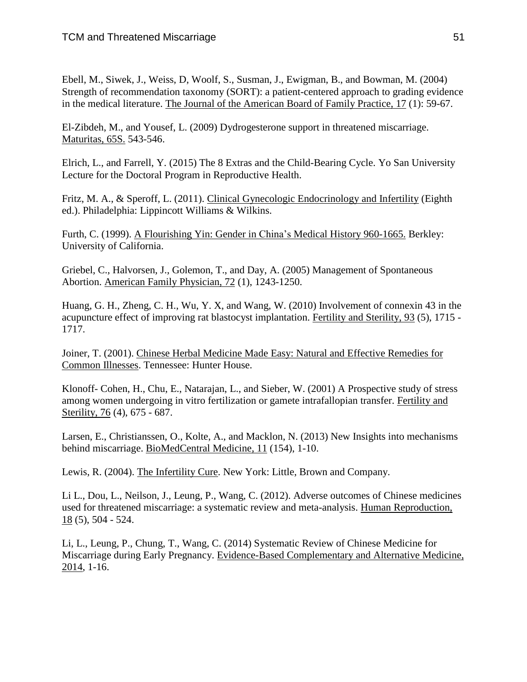Ebell, M., Siwek, J., Weiss, D, Woolf, S., Susman, J., Ewigman, B., and Bowman, M. (2004) Strength of recommendation taxonomy (SORT): a patient-centered approach to grading evidence in the medical literature. The Journal of the American Board of Family Practice, 17 (1): 59-67.

El-Zibdeh, M., and Yousef, L. (2009) Dydrogesterone support in threatened miscarriage. Maturitas, 65S. 543-546.

Elrich, L., and Farrell, Y. (2015) The 8 Extras and the Child-Bearing Cycle. Yo San University Lecture for the Doctoral Program in Reproductive Health.

Fritz, M. A., & Speroff, L. (2011). Clinical Gynecologic Endocrinology and Infertility (Eighth ed.). Philadelphia: Lippincott Williams & Wilkins.

Furth, C. (1999). A Flourishing Yin: Gender in China's Medical History 960-1665. Berkley: University of California.

Griebel, C., Halvorsen, J., Golemon, T., and Day, A. (2005) Management of Spontaneous Abortion. American Family Physician, 72 (1), 1243-1250.

Huang, G. H., Zheng, C. H., Wu, Y. X, and Wang, W. (2010) Involvement of connexin 43 in the acupuncture effect of improving rat blastocyst implantation. Fertility and Sterility, 93 (5), 1715 - 1717.

Joiner, T. (2001). Chinese Herbal Medicine Made Easy: Natural and Effective Remedies for Common Illnesses. Tennessee: Hunter House.

Klonoff- Cohen, H., Chu, E., Natarajan, L., and Sieber, W. (2001) A Prospective study of stress among women undergoing in vitro fertilization or gamete intrafallopian transfer. Fertility and Sterility, 76 (4), 675 - 687.

Larsen, E., Christianssen, O., Kolte, A., and Macklon, N. (2013) New Insights into mechanisms behind miscarriage. BioMedCentral Medicine, 11 (154), 1-10.

Lewis, R. (2004). The Infertility Cure. New York: Little, Brown and Company.

Li L., Dou, L., Neilson, J., Leung, P., Wang, C. (2012). Adverse outcomes of Chinese medicines used for threatened miscarriage: a systematic review and meta-analysis. Human Reproduction, 18 (5), 504 - 524.

Li, L., Leung, P., Chung, T., Wang, C. (2014) Systematic Review of Chinese Medicine for Miscarriage during Early Pregnancy. Evidence-Based Complementary and Alternative Medicine, 2014, 1-16.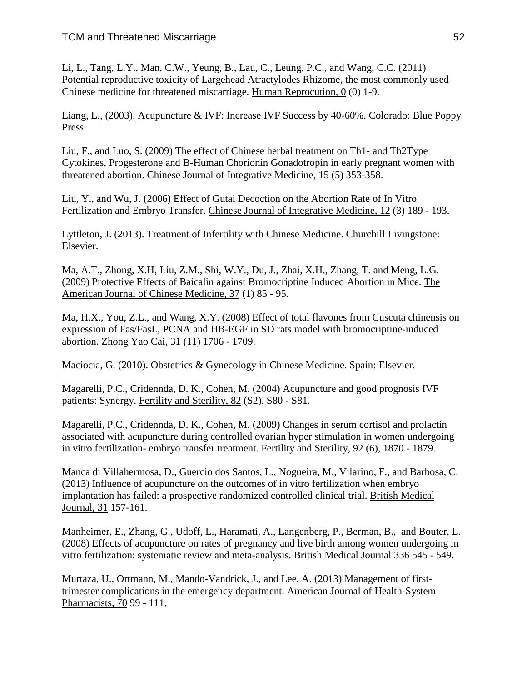Li, L., Tang, L.Y., Man, C.W., Yeung, B., Lau, C., Leung, P.C., and Wang, C.C. (2011) Potential reproductive toxicity of Largehead Atractylodes Rhizome, the most commonly used Chinese medicine for threatened miscarriage. Human Reprocution, 0 (0) 1-9.

Liang, L., (2003). Acupuncture & IVF: Increase IVF Success by 40-60%. Colorado: Blue Poppy Press.

Liu, F., and Luo, S. (2009) The effect of Chinese herbal treatment on Th1- and Th2Type Cytokines, Progesterone and B-Human Chorionin Gonadotropin in early pregnant women with threatened abortion. Chinese Journal of Integrative Medicine, 15 (5) 353-358.

Liu, Y., and Wu, J. (2006) Effect of Gutai Decoction on the Abortion Rate of In Vitro Fertilization and Embryo Transfer. Chinese Journal of Integrative Medicine, 12 (3) 189 - 193.

Lyttleton, J. (2013). Treatment of Infertility with Chinese Medicine. Churchill Livingstone: Elsevier.

Ma, A.T., Zhong, X.H, Liu, Z.M., Shi, W.Y., Du, J., Zhai, X.H., Zhang, T. and Meng, L.G. (2009) Protective Effects of Baicalin against Bromocriptine Induced Abortion in Mice. The American Journal of Chinese Medicine, 37 (1) 85 - 95.

Ma, H.X., You, Z.L., and Wang, X.Y. (2008) Effect of total flavones from Cuscuta chinensis on expression of Fas/FasL, PCNA and HB-EGF in SD rats model with bromocriptine-induced abortion. Zhong Yao Cai, 31 (11) 1706 - 1709.

Maciocia, G. (2010). Obstetrics & Gynecology in Chinese Medicine. Spain: Elsevier.

Magarelli, P.C., Cridennda, D. K., Cohen, M. (2004) Acupuncture and good prognosis IVF patients: Synergy. Fertility and Sterility, 82 (S2), S80 - S81.

Magarelli, P.C., Cridennda, D. K., Cohen, M. (2009) Changes in serum cortisol and prolactin associated with acupuncture during controlled ovarian hyper stimulation in women undergoing in vitro fertilization- embryo transfer treatment. Fertility and Sterility*,* 92 (6), 1870 - 1879.

Manca di Villahermosa, D., Guercio dos Santos, L., Nogueira, M., Vilarino, F., and Barbosa, C. (2013) Influence of acupuncture on the outcomes of in vitro fertilization when embryo implantation has failed: a prospective randomized controlled clinical trial. British Medical Journal, 31 157-161.

Manheimer, E., Zhang, G., Udoff, L., Haramati, A., Langenberg, P., Berman, B., and Bouter, L. (2008) Effects of acupuncture on rates of pregnancy and live birth among women undergoing in vitro fertilization: systematic review and meta-analysis. British Medical Journal 336 545 - 549.

Murtaza, U., Ortmann, M., Mando-Vandrick, J., and Lee, A. (2013) Management of firsttrimester complications in the emergency department. American Journal of Health-System Pharmacists, 70 99 - 111.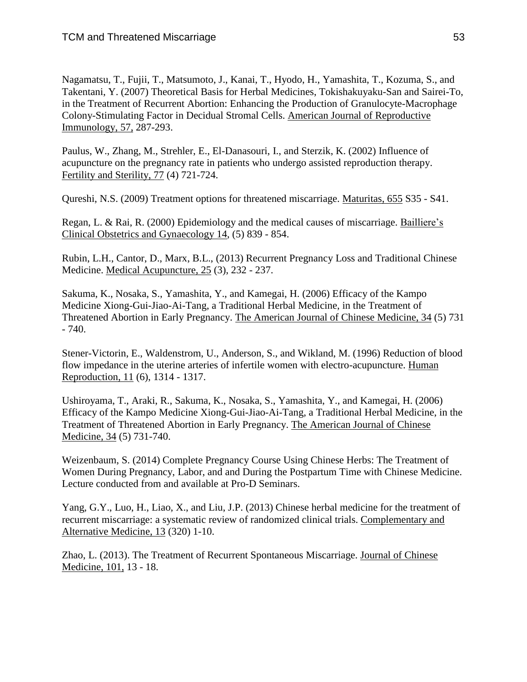Nagamatsu, T., Fujii, T., Matsumoto, J., Kanai, T., Hyodo, H., Yamashita, T., Kozuma, S., and Takentani, Y. (2007) Theoretical Basis for Herbal Medicines, Tokishakuyaku-San and Sairei-To, in the Treatment of Recurrent Abortion: Enhancing the Production of Granulocyte-Macrophage Colony-Stimulating Factor in Decidual Stromal Cells. American Journal of Reproductive Immunology, 57, 287-293.

Paulus, W., Zhang, M., Strehler, E., El-Danasouri, I., and Sterzik, K. (2002) Influence of acupuncture on the pregnancy rate in patients who undergo assisted reproduction therapy. Fertility and Sterility, 77 (4) 721-724.

Qureshi, N.S. (2009) Treatment options for threatened miscarriage. Maturitas, 655 S35 - S41.

Regan, L. & Rai, R. (2000) Epidemiology and the medical causes of miscarriage. Bailliere's Clinical Obstetrics and Gynaecology 14, (5) 839 - 854.

Rubin, L.H., Cantor, D., Marx, B.L., (2013) Recurrent Pregnancy Loss and Traditional Chinese Medicine. Medical Acupuncture, 25 (3), 232 - 237.

Sakuma, K., Nosaka, S., Yamashita, Y., and Kamegai, H. (2006) Efficacy of the Kampo Medicine Xiong-Gui-Jiao-Ai-Tang, a Traditional Herbal Medicine, in the Treatment of Threatened Abortion in Early Pregnancy. The American Journal of Chinese Medicine, 34 (5) 731 - 740.

Stener-Victorin, E., Waldenstrom, U., Anderson, S., and Wikland, M. (1996) Reduction of blood flow impedance in the uterine arteries of infertile women with electro-acupuncture. Human Reproduction, 11 (6), 1314 - 1317.

Ushiroyama, T., Araki, R., Sakuma, K., Nosaka, S., Yamashita, Y., and Kamegai, H. (2006) Efficacy of the Kampo Medicine Xiong-Gui-Jiao-Ai-Tang, a Traditional Herbal Medicine, in the Treatment of Threatened Abortion in Early Pregnancy. The American Journal of Chinese Medicine, 34 (5) 731-740.

Weizenbaum, S. (2014) Complete Pregnancy Course Using Chinese Herbs: The Treatment of Women During Pregnancy, Labor, and and During the Postpartum Time with Chinese Medicine. Lecture conducted from and available at Pro-D Seminars.

Yang, G.Y., Luo, H., Liao, X., and Liu, J.P. (2013) Chinese herbal medicine for the treatment of recurrent miscarriage: a systematic review of randomized clinical trials. Complementary and Alternative Medicine, 13 (320) 1-10.

Zhao, L. (2013). The Treatment of Recurrent Spontaneous Miscarriage. Journal of Chinese Medicine, 101, 13 - 18.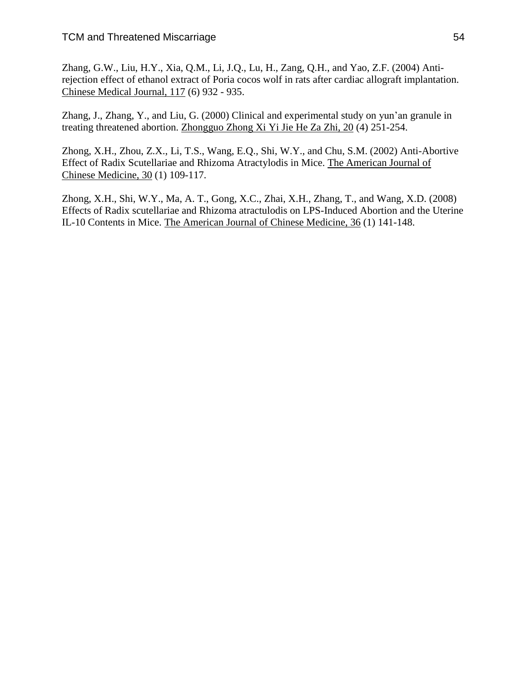Zhang, G.W., Liu, H.Y., Xia, Q.M., Li, J.Q., Lu, H., Zang, Q.H., and Yao, Z.F. (2004) Antirejection effect of ethanol extract of Poria cocos wolf in rats after cardiac allograft implantation. Chinese Medical Journal, 117 (6) 932 - 935.

Zhang, J., Zhang, Y., and Liu, G. (2000) Clinical and experimental study on yun'an granule in treating threatened abortion. Zhongguo Zhong Xi Yi Jie He Za Zhi, 20 (4) 251-254.

Zhong, X.H., Zhou, Z.X., Li, T.S., Wang, E.Q., Shi, W.Y., and Chu, S.M. (2002) Anti-Abortive Effect of Radix Scutellariae and Rhizoma Atractylodis in Mice. The American Journal of Chinese Medicine, 30 (1) 109-117.

Zhong, X.H., Shi, W.Y., Ma, A. T., Gong, X.C., Zhai, X.H., Zhang, T., and Wang, X.D. (2008) Effects of Radix scutellariae and Rhizoma atractulodis on LPS-Induced Abortion and the Uterine IL-10 Contents in Mice. The American Journal of Chinese Medicine, 36 (1) 141-148.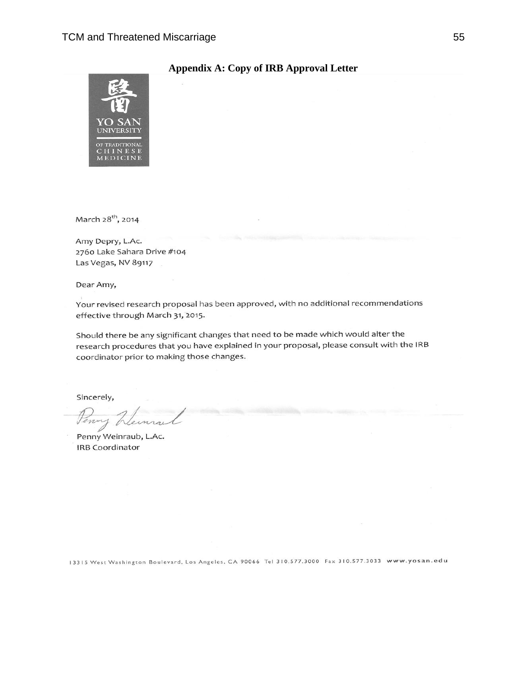

### **Appendix A: Copy of IRB Approval Letter**

March 28<sup>th</sup>, 2014

Amy Depry, L.Ac. 2760 Lake Sahara Drive #104 Las Vegas, NV 89117

Dear Amy,

Your revised research proposal has been approved, with no additional recommendations effective through March 31, 2015.

Should there be any significant changes that need to be made which would alter the research procedures that you have explained in your proposal, please consult with the IRB coordinator prior to making those changes.

Sincerely,

Penn

Penny Weinraub, L.Ac. **IRB Coordinator** 

13315 West Washington Boulevard, Los Angeles, CA 90066 Tel 310.577.3000 Fax 310.577.3033 www.yosan.edu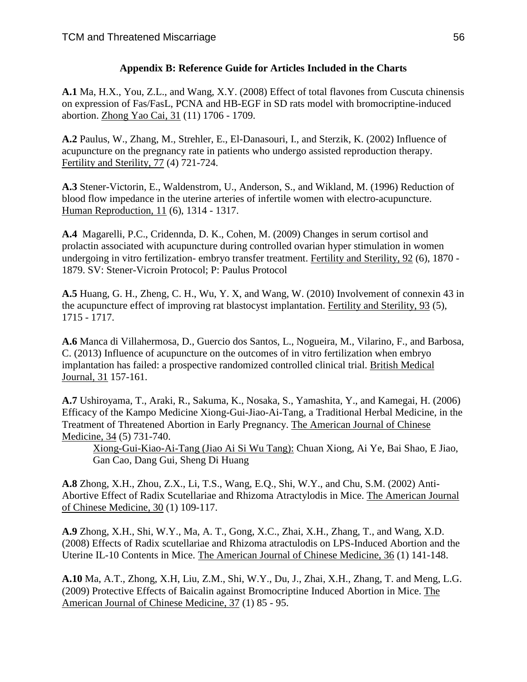## **Appendix B: Reference Guide for Articles Included in the Charts**

**A.1** Ma, H.X., You, Z.L., and Wang, X.Y. (2008) Effect of total flavones from Cuscuta chinensis on expression of Fas/FasL, PCNA and HB-EGF in SD rats model with bromocriptine-induced abortion. Zhong Yao Cai, 31 (11) 1706 - 1709.

**A.2** Paulus, W., Zhang, M., Strehler, E., El-Danasouri, I., and Sterzik, K. (2002) Influence of acupuncture on the pregnancy rate in patients who undergo assisted reproduction therapy. Fertility and Sterility, 77 (4) 721-724.

**A.3** Stener-Victorin, E., Waldenstrom, U., Anderson, S., and Wikland, M. (1996) Reduction of blood flow impedance in the uterine arteries of infertile women with electro-acupuncture. Human Reproduction, 11 (6), 1314 - 1317.

**A.4** Magarelli, P.C., Cridennda, D. K., Cohen, M. (2009) Changes in serum cortisol and prolactin associated with acupuncture during controlled ovarian hyper stimulation in women undergoing in vitro fertilization- embryo transfer treatment. Fertility and Sterility*,* 92 (6), 1870 - 1879. SV: Stener-Vicroin Protocol; P: Paulus Protocol

**A.5** Huang, G. H., Zheng, C. H., Wu, Y. X, and Wang, W. (2010) Involvement of connexin 43 in the acupuncture effect of improving rat blastocyst implantation. Fertility and Sterility, 93 (5), 1715 - 1717.

**A.6** Manca di Villahermosa, D., Guercio dos Santos, L., Nogueira, M., Vilarino, F., and Barbosa, C. (2013) Influence of acupuncture on the outcomes of in vitro fertilization when embryo implantation has failed: a prospective randomized controlled clinical trial. British Medical Journal, 31 157-161.

**A.7** Ushiroyama, T., Araki, R., Sakuma, K., Nosaka, S., Yamashita, Y., and Kamegai, H. (2006) Efficacy of the Kampo Medicine Xiong-Gui-Jiao-Ai-Tang, a Traditional Herbal Medicine, in the Treatment of Threatened Abortion in Early Pregnancy. The American Journal of Chinese Medicine, 34 (5) 731-740.

Xiong-Gui-Kiao-Ai-Tang (Jiao Ai Si Wu Tang): Chuan Xiong, Ai Ye, Bai Shao, E Jiao, Gan Cao, Dang Gui, Sheng Di Huang

**A.8** Zhong, X.H., Zhou, Z.X., Li, T.S., Wang, E.Q., Shi, W.Y., and Chu, S.M. (2002) Anti-Abortive Effect of Radix Scutellariae and Rhizoma Atractylodis in Mice. The American Journal of Chinese Medicine, 30 (1) 109-117.

**A.9** Zhong, X.H., Shi, W.Y., Ma, A. T., Gong, X.C., Zhai, X.H., Zhang, T., and Wang, X.D. (2008) Effects of Radix scutellariae and Rhizoma atractulodis on LPS-Induced Abortion and the Uterine IL-10 Contents in Mice. The American Journal of Chinese Medicine, 36 (1) 141-148.

**A.10** Ma, A.T., Zhong, X.H, Liu, Z.M., Shi, W.Y., Du, J., Zhai, X.H., Zhang, T. and Meng, L.G. (2009) Protective Effects of Baicalin against Bromocriptine Induced Abortion in Mice. The American Journal of Chinese Medicine, 37 (1) 85 - 95.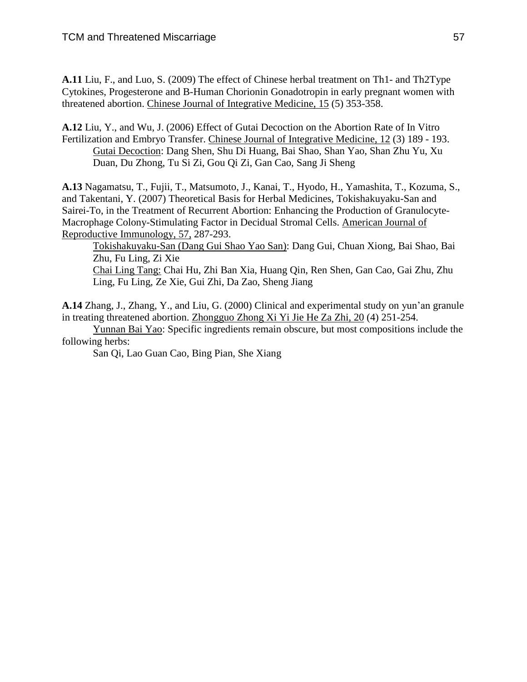**A.11** Liu, F., and Luo, S. (2009) The effect of Chinese herbal treatment on Th1- and Th2Type Cytokines, Progesterone and B-Human Chorionin Gonadotropin in early pregnant women with threatened abortion. Chinese Journal of Integrative Medicine, 15 (5) 353-358.

**A.12** Liu, Y., and Wu, J. (2006) Effect of Gutai Decoction on the Abortion Rate of In Vitro Fertilization and Embryo Transfer. Chinese Journal of Integrative Medicine, 12 (3) 189 - 193. Gutai Decoction: Dang Shen, Shu Di Huang, Bai Shao, Shan Yao, Shan Zhu Yu, Xu Duan, Du Zhong, Tu Si Zi, Gou Qi Zi, Gan Cao, Sang Ji Sheng

**A.13** Nagamatsu, T., Fujii, T., Matsumoto, J., Kanai, T., Hyodo, H., Yamashita, T., Kozuma, S., and Takentani, Y. (2007) Theoretical Basis for Herbal Medicines, Tokishakuyaku-San and Sairei-To, in the Treatment of Recurrent Abortion: Enhancing the Production of Granulocyte-Macrophage Colony-Stimulating Factor in Decidual Stromal Cells. American Journal of Reproductive Immunology, 57, 287-293.

Tokishakuyaku-San (Dang Gui Shao Yao San): Dang Gui, Chuan Xiong, Bai Shao, Bai Zhu, Fu Ling, Zi Xie Chai Ling Tang: Chai Hu, Zhi Ban Xia, Huang Qin, Ren Shen, Gan Cao, Gai Zhu, Zhu Ling, Fu Ling, Ze Xie, Gui Zhi, Da Zao, Sheng Jiang

**A.14** Zhang, J., Zhang, Y., and Liu, G. (2000) Clinical and experimental study on yun'an granule in treating threatened abortion. Zhongguo Zhong Xi Yi Jie He Za Zhi, 20 (4) 251-254.

Yunnan Bai Yao: Specific ingredients remain obscure, but most compositions include the following herbs:

San Qi, Lao Guan Cao, Bing Pian, She Xiang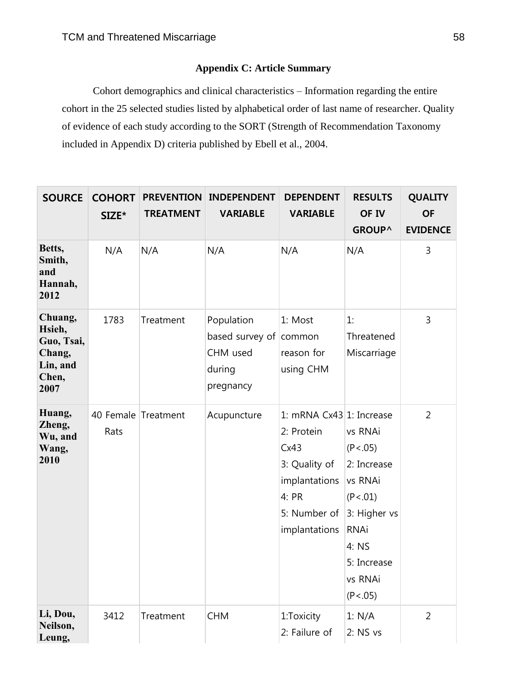### **Appendix C: Article Summary**

Cohort demographics and clinical characteristics – Information regarding the entire cohort in the 25 selected studies listed by alphabetical order of last name of researcher. Quality of evidence of each study according to the SORT (Strength of Recommendation Taxonomy included in Appendix D) criteria published by Ebell et al., 2004.

| <b>SOURCE</b>                                                          | <b>COHORT</b><br>SIZE*      | <b>TREATMENT</b> | <b>PREVENTION INDEPENDENT</b><br><b>VARIABLE</b>                        | <b>DEPENDENT</b><br><b>VARIABLE</b>                                                                                        | <b>RESULTS</b><br>OF IV<br><b>GROUP^</b>                                                                                                   | <b>QUALITY</b><br><b>OF</b><br><b>EVIDENCE</b> |
|------------------------------------------------------------------------|-----------------------------|------------------|-------------------------------------------------------------------------|----------------------------------------------------------------------------------------------------------------------------|--------------------------------------------------------------------------------------------------------------------------------------------|------------------------------------------------|
| Betts,<br>Smith,<br>and<br>Hannah,<br>2012                             | N/A                         | N/A              | N/A                                                                     | N/A                                                                                                                        | N/A                                                                                                                                        | 3                                              |
| Chuang,<br>Hsieh,<br>Guo, Tsai,<br>Chang,<br>Lin, and<br>Chen,<br>2007 | 1783                        | Treatment        | Population<br>based survey of common<br>CHM used<br>during<br>pregnancy | 1: Most<br>reason for<br>using CHM                                                                                         | 1:<br>Threatened<br>Miscarriage                                                                                                            | 3                                              |
| Huang,<br>Zheng,<br>Wu, and<br>Wang,<br>2010                           | 40 Female Treatment<br>Rats |                  | Acupuncture                                                             | 1: mRNA Cx43 1: Increase<br>2: Protein<br>Cx43<br>3: Quality of<br>implantations<br>4: PR<br>5: Number of<br>implantations | vs RNAi<br>(P < .05)<br>2: Increase<br>vs RNAi<br>(P < .01)<br>3: Higher vs<br><b>RNAi</b><br>4: NS<br>5: Increase<br>vs RNAi<br>(P < .05) | $\overline{2}$                                 |
| Li, Dou,<br>Neilson,<br>Leung,                                         | 3412                        | Treatment        | <b>CHM</b>                                                              | 1:Toxicity<br>2: Failure of                                                                                                | 1: N/A<br>2: NSvs                                                                                                                          | $\overline{2}$                                 |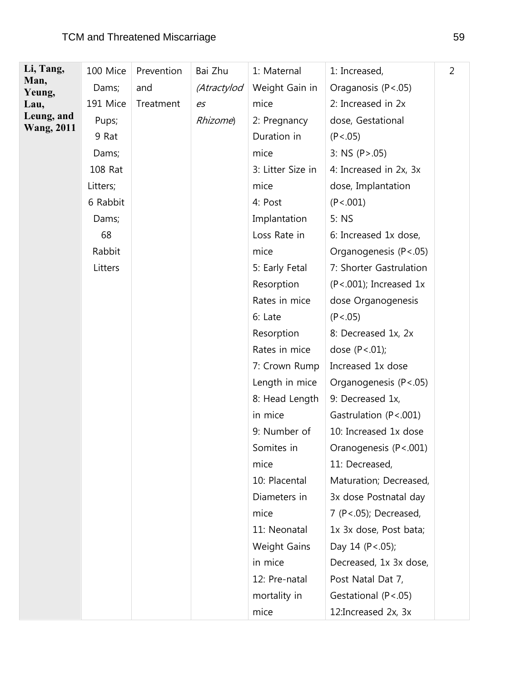| Li, Tang,         | 100 Mice | Prevention | Bai Zhu     | 1: Maternal         | 1: Increased,               | $\overline{2}$ |
|-------------------|----------|------------|-------------|---------------------|-----------------------------|----------------|
| Man,<br>Yeung,    | Dams;    | and        | (Atractylod | Weight Gain in      | Oraganosis (P<.05)          |                |
| Lau,              | 191 Mice | Treatment  | es          | mice                | 2: Increased in 2x          |                |
| Leung, and        | Pups;    |            | Rhizome)    | 2: Pregnancy        | dose, Gestational           |                |
| <b>Wang, 2011</b> | 9 Rat    |            |             | Duration in         | (P < .05)                   |                |
|                   | Dams;    |            |             | mice                | 3: NS (P > .05)             |                |
|                   | 108 Rat  |            |             | 3: Litter Size in   | 4: Increased in 2x, 3x      |                |
|                   | Litters; |            |             | mice                | dose, Implantation          |                |
|                   | 6 Rabbit |            |             | 4: Post             | (P < .001)                  |                |
|                   | Dams;    |            |             | Implantation        | 5: NS                       |                |
|                   | 68       |            |             | Loss Rate in        | 6: Increased 1x dose,       |                |
|                   | Rabbit   |            |             | mice                | Organogenesis (P<.05)       |                |
|                   | Litters  |            |             | 5: Early Fetal      | 7: Shorter Gastrulation     |                |
|                   |          |            |             | Resorption          | $(P < .001)$ ; Increased 1x |                |
|                   |          |            |             | Rates in mice       | dose Organogenesis          |                |
|                   |          |            |             | 6: Late             | (P < .05)                   |                |
|                   |          |            |             | Resorption          | 8: Decreased 1x, 2x         |                |
|                   |          |            |             | Rates in mice       | dose $(P < .01)$ ;          |                |
|                   |          |            |             | 7: Crown Rump       | Increased 1x dose           |                |
|                   |          |            |             | Length in mice      | Organogenesis (P<.05)       |                |
|                   |          |            |             | 8: Head Length      | 9: Decreased 1x,            |                |
|                   |          |            |             | in mice             | Gastrulation (P<.001)       |                |
|                   |          |            |             | 9: Number of        | 10: Increased 1x dose       |                |
|                   |          |            |             | Somites in          | Oranogenesis (P<.001)       |                |
|                   |          |            |             | mice                | 11: Decreased,              |                |
|                   |          |            |             | 10: Placental       | Maturation; Decreased,      |                |
|                   |          |            |             | Diameters in        | 3x dose Postnatal day       |                |
|                   |          |            |             | mice                | 7 (P <. 05); Decreased,     |                |
|                   |          |            |             | 11: Neonatal        | 1x 3x dose, Post bata;      |                |
|                   |          |            |             | <b>Weight Gains</b> | Day 14 (P < .05);           |                |
|                   |          |            |             | in mice             | Decreased, 1x 3x dose,      |                |
|                   |          |            |             | 12: Pre-natal       | Post Natal Dat 7,           |                |
|                   |          |            |             | mortality in        | Gestational (P<.05)         |                |
|                   |          |            |             | mice                | 12: Increased 2x, 3x        |                |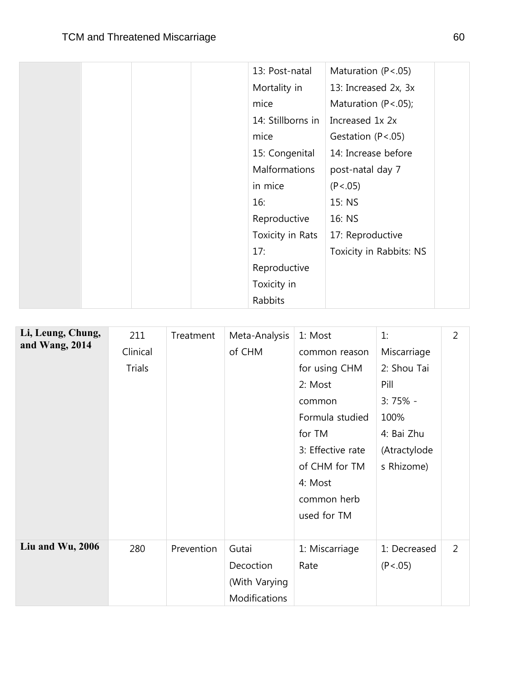|  |  | 13: Post-natal       | Maturation (P<.05)       |  |
|--|--|----------------------|--------------------------|--|
|  |  | Mortality in         | 13: Increased 2x, 3x     |  |
|  |  | mice                 | Maturation $(P < .05)$ ; |  |
|  |  | 14: Stillborns in    | Increased 1x 2x          |  |
|  |  | mice                 | Gestation $(P < .05)$    |  |
|  |  | 15: Congenital       | 14: Increase before      |  |
|  |  | <b>Malformations</b> | post-natal day 7         |  |
|  |  | in mice              | (P < .05)                |  |
|  |  | 16:                  | 15: NS                   |  |
|  |  | Reproductive         | 16: NS                   |  |
|  |  | Toxicity in Rats     | 17: Reproductive         |  |
|  |  | 17:                  | Toxicity in Rabbits: NS  |  |
|  |  | Reproductive         |                          |  |
|  |  | Toxicity in          |                          |  |
|  |  | Rabbits              |                          |  |

| Li, Leung, Chung,<br>and Wang, 2014 | 211<br>Clinical<br><b>Trials</b> | Treatment  | Meta-Analysis<br>of CHM                              | 1: Most<br>common reason<br>for using CHM<br>2: Most<br>common<br>Formula studied<br>for TM<br>3: Effective rate<br>of CHM for TM<br>4: Most<br>common herb<br>used for TM | 1:<br>Miscarriage<br>2: Shou Tai<br>Pill<br>$3:75%$ -<br>100%<br>4: Bai Zhu<br>(Atractylode<br>s Rhizome) | $\overline{2}$ |
|-------------------------------------|----------------------------------|------------|------------------------------------------------------|----------------------------------------------------------------------------------------------------------------------------------------------------------------------------|-----------------------------------------------------------------------------------------------------------|----------------|
| Liu and Wu, 2006                    | 280                              | Prevention | Gutai<br>Decoction<br>(With Varying<br>Modifications | 1: Miscarriage<br>Rate                                                                                                                                                     | 1: Decreased<br>(P < .05)                                                                                 | $\overline{2}$ |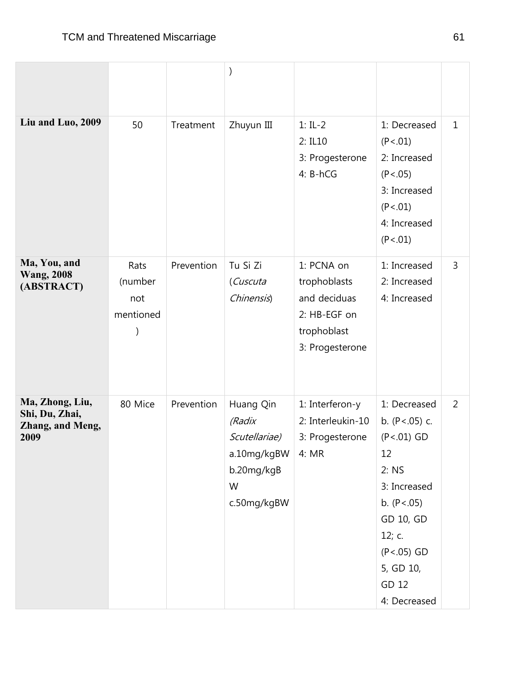| Liu and Luo, 2009                                             | 50                                  | Treatment  | Zhuyun III                                                                            | $1: IL-2$<br>2: IL10<br>3: Progesterone<br>4: B-hCG                                          | 1: Decreased<br>(P < .01)<br>2: Increased<br>(P < .05)<br>3: Increased<br>(P < .01)<br>4: Increased<br>(P < .01)                                                                       | $\mathbf{1}$   |
|---------------------------------------------------------------|-------------------------------------|------------|---------------------------------------------------------------------------------------|----------------------------------------------------------------------------------------------|----------------------------------------------------------------------------------------------------------------------------------------------------------------------------------------|----------------|
| Ma, You, and<br><b>Wang, 2008</b><br>(ABSTRACT)               | Rats<br>(number<br>not<br>mentioned | Prevention | Tu Si Zi<br>(Cuscuta<br>Chinensis)                                                    | 1: PCNA on<br>trophoblasts<br>and deciduas<br>2: HB-EGF on<br>trophoblast<br>3: Progesterone | 1: Increased<br>2: Increased<br>4: Increased                                                                                                                                           | 3              |
| Ma, Zhong, Liu,<br>Shi, Du, Zhai,<br>Zhang, and Meng,<br>2009 | 80 Mice                             | Prevention | Huang Qin<br>(Radix<br>Scutellariae)<br>a.10mg/kgBW<br>b.20mg/kgB<br>W<br>c.50mg/kgBW | 1: Interferon-y<br>2: Interleukin-10<br>3: Progesterone<br>4: MR                             | 1: Decreased<br>b. $(P < .05)$ c.<br>$(P < .01)$ GD<br>12<br>2: NS<br>3: Increased<br>b. $(P < .05)$<br>GD 10, GD<br>12; $c$ .<br>$(P < .05)$ GD<br>5, GD 10,<br>GD 12<br>4: Decreased | $\overline{2}$ |

 $\sim$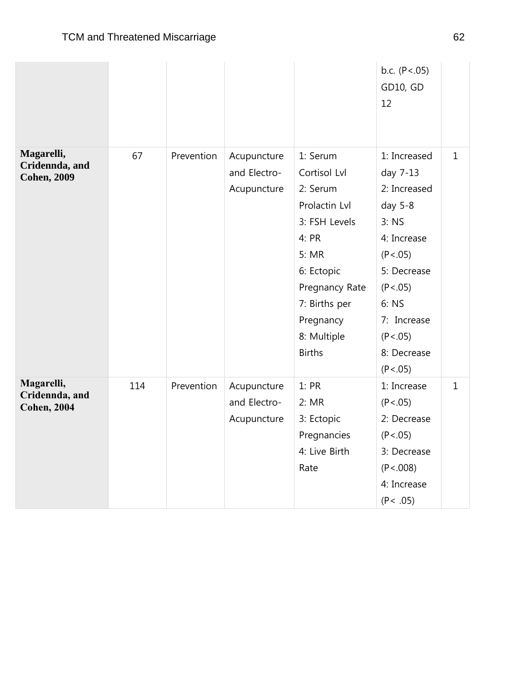|                                                    |     |            |                                            |                                                                                                                                                                                        | b.c. $(P < .05)$<br>GD10, GD<br>12                                                                                                                                                      |              |
|----------------------------------------------------|-----|------------|--------------------------------------------|----------------------------------------------------------------------------------------------------------------------------------------------------------------------------------------|-----------------------------------------------------------------------------------------------------------------------------------------------------------------------------------------|--------------|
| Magarelli,<br>Cridennda, and<br><b>Cohen, 2009</b> | 67  | Prevention | Acupuncture<br>and Electro-<br>Acupuncture | 1: Serum<br>Cortisol Lvl<br>2: Serum<br>Prolactin Lvl<br>3: FSH Levels<br>4: PR<br>5: MR<br>6: Ectopic<br>Pregnancy Rate<br>7: Births per<br>Pregnancy<br>8: Multiple<br><b>Births</b> | 1: Increased<br>day 7-13<br>2: Increased<br>day 5-8<br>$3:$ NS<br>4: Increase<br>(P < .05)<br>5: Decrease<br>(P < .05)<br>6: NS<br>7: Increase<br>(P < .05)<br>8: Decrease<br>(P < .05) | $\mathbf{1}$ |
| Magarelli,<br>Cridennda, and<br><b>Cohen, 2004</b> | 114 | Prevention | Acupuncture<br>and Electro-<br>Acupuncture | 1:PR<br>2: MR<br>3: Ectopic<br>Pregnancies<br>4: Live Birth<br>Rate                                                                                                                    | 1: Increase<br>(P < .05)<br>2: Decrease<br>(P < .05)<br>3: Decrease<br>(P < .008)<br>4: Increase<br>(P < .05)                                                                           | $\mathbf{1}$ |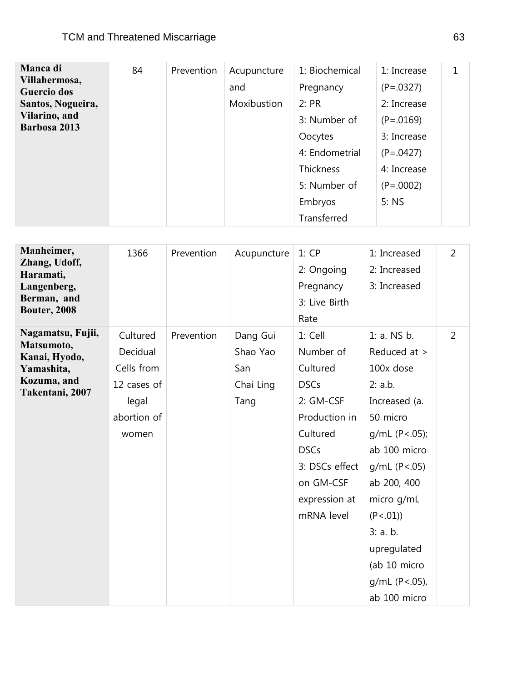| Manca di           | 84 | Prevention | Acupuncture | 1: Biochemical | 1: Increase |  |
|--------------------|----|------------|-------------|----------------|-------------|--|
| Villahermosa,      |    |            | and         |                | $(P=.0327)$ |  |
| <b>Guercio dos</b> |    |            |             | Pregnancy      |             |  |
| Santos, Nogueira,  |    |            | Moxibustion | 2: PR          | 2: Increase |  |
| Vilarino, and      |    |            |             | 3: Number of   | $(P=.0169)$ |  |
| Barbosa 2013       |    |            |             | Oocytes        | 3: Increase |  |
|                    |    |            |             | 4: Endometrial | $(P=.0427)$ |  |
|                    |    |            |             | Thickness      | 4: Increase |  |
|                    |    |            |             | 5: Number of   | $(P=.0002)$ |  |
|                    |    |            |             | Embryos        | 5:NS        |  |
|                    |    |            |             | Transferred    |             |  |

| Manheimer,<br>Zhang, Udoff,<br>Haramati,<br>Langenberg,<br>Berman, and<br><b>Bouter, 2008</b>    | 1366                                                                               | Prevention | Acupuncture                                      | 1:CP<br>2: Ongoing<br>Pregnancy<br>3: Live Birth<br>Rate                                                                                                               | 1: Increased<br>2: Increased<br>3: Increased                                                                                                                                                                                                                 | $\overline{2}$ |
|--------------------------------------------------------------------------------------------------|------------------------------------------------------------------------------------|------------|--------------------------------------------------|------------------------------------------------------------------------------------------------------------------------------------------------------------------------|--------------------------------------------------------------------------------------------------------------------------------------------------------------------------------------------------------------------------------------------------------------|----------------|
| Nagamatsu, Fujii,<br>Matsumoto,<br>Kanai, Hyodo,<br>Yamashita,<br>Kozuma, and<br>Takentani, 2007 | Cultured<br>Decidual<br>Cells from<br>12 cases of<br>legal<br>abortion of<br>women | Prevention | Dang Gui<br>Shao Yao<br>San<br>Chai Ling<br>Tang | 1: Cell<br>Number of<br>Cultured<br><b>DSCs</b><br>2: GM-CSF<br>Production in<br>Cultured<br><b>DSCs</b><br>3: DSCs effect<br>on GM-CSF<br>expression at<br>mRNA level | 1: a. NS b.<br>Reduced at ><br>100x dose<br>2: a.b.<br>Increased (a.<br>50 micro<br>g/mL (P < .05);<br>ab 100 micro<br>g/mL (P < .05)<br>ab 200, 400<br>micro g/mL<br>(P < .01)<br>3: a.b.<br>upregulated<br>(ab 10 micro<br>$g/mL$ (P<.05),<br>ab 100 micro | $\overline{2}$ |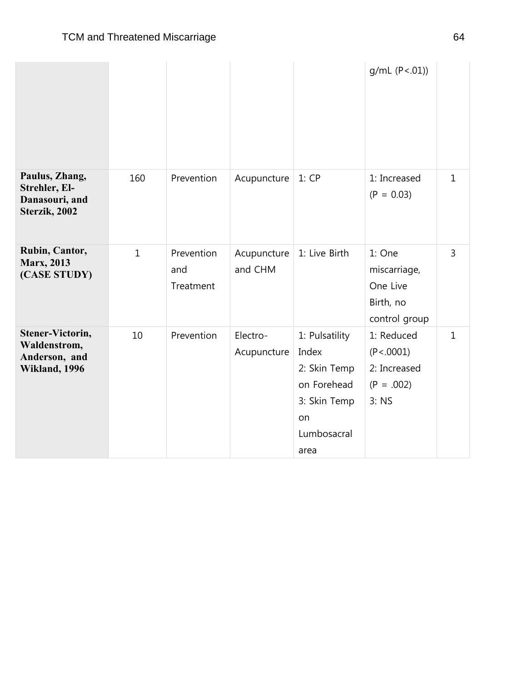|                                                                    |              |                                |                         |                                                                                                     | g/mL (P < .01)                                                     |              |
|--------------------------------------------------------------------|--------------|--------------------------------|-------------------------|-----------------------------------------------------------------------------------------------------|--------------------------------------------------------------------|--------------|
| Paulus, Zhang,<br>Strehler, El-<br>Danasouri, and<br>Sterzik, 2002 | 160          | Prevention                     | Acupuncture             | 1:CP                                                                                                | 1: Increased<br>$(P = 0.03)$                                       | $\mathbf{1}$ |
| Rubin, Cantor,<br><b>Marx, 2013</b><br>(CASE STUDY)                | $\mathbf{1}$ | Prevention<br>and<br>Treatment | Acupuncture<br>and CHM  | 1: Live Birth                                                                                       | 1: One<br>miscarriage,<br>One Live<br>Birth, no<br>control group   | 3            |
| Stener-Victorin,<br>Waldenstrom,<br>Anderson, and<br>Wikland, 1996 | 10           | Prevention                     | Electro-<br>Acupuncture | 1: Pulsatility<br>Index<br>2: Skin Temp<br>on Forehead<br>3: Skin Temp<br>on<br>Lumbosacral<br>area | 1: Reduced<br>(P < .0001)<br>2: Increased<br>$(P = .002)$<br>3: NS | $\mathbf{1}$ |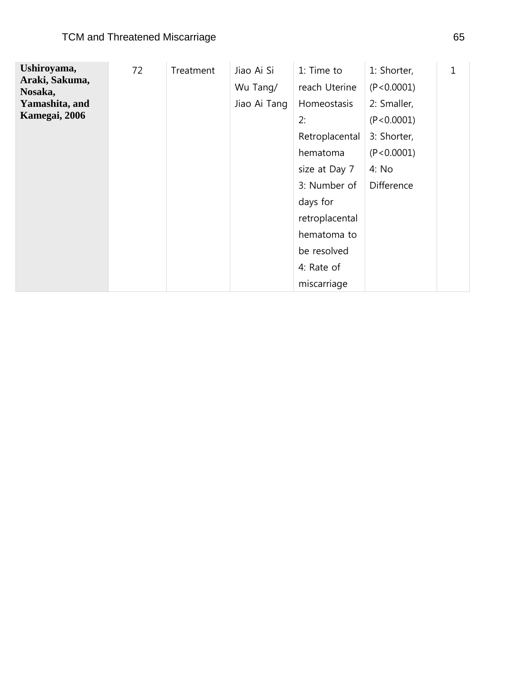| Ushiroyama,               | 72 | Treatment | Jiao Ai Si   | 1: Time to     | 1: Shorter,       | 1 |
|---------------------------|----|-----------|--------------|----------------|-------------------|---|
| Araki, Sakuma,<br>Nosaka, |    |           | Wu Tang/     | reach Uterine  | (P < 0.0001)      |   |
| Yamashita, and            |    |           | Jiao Ai Tang | Homeostasis    | 2: Smaller,       |   |
| Kamegai, 2006             |    |           |              | 2:             | (P < 0.0001)      |   |
|                           |    |           |              | Retroplacental | 3: Shorter,       |   |
|                           |    |           |              | hematoma       | (P < 0.0001)      |   |
|                           |    |           |              | size at Day 7  | 4: No             |   |
|                           |    |           |              | 3: Number of   | <b>Difference</b> |   |
|                           |    |           |              | days for       |                   |   |
|                           |    |           |              | retroplacental |                   |   |
|                           |    |           |              | hematoma to    |                   |   |
|                           |    |           |              | be resolved    |                   |   |
|                           |    |           |              | 4: Rate of     |                   |   |
|                           |    |           |              | miscarriage    |                   |   |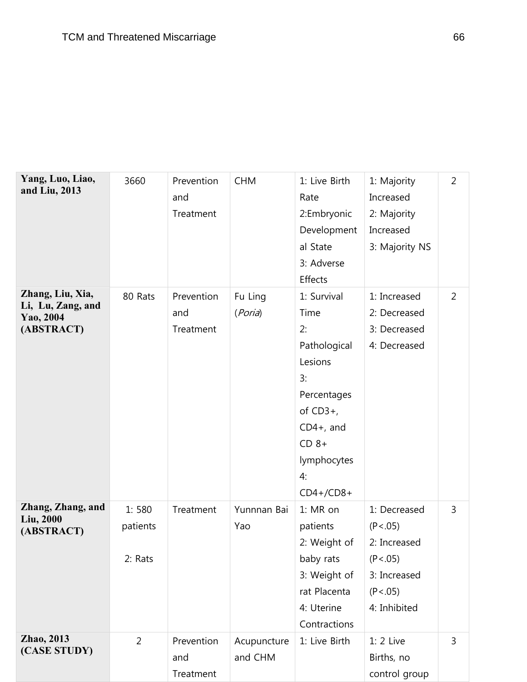| Yang, Luo, Liao,<br>and Liu, 2013                                | 3660                         | Prevention<br>and<br>Treatment | <b>CHM</b>             | 1: Live Birth<br>Rate<br>2:Embryonic<br>Development<br>al State<br>3: Adverse<br>Effects                                                                | 1: Majority<br>Increased<br>2: Majority<br>Increased<br>3: Majority NS                              | $\overline{2}$ |
|------------------------------------------------------------------|------------------------------|--------------------------------|------------------------|---------------------------------------------------------------------------------------------------------------------------------------------------------|-----------------------------------------------------------------------------------------------------|----------------|
| Zhang, Liu, Xia,<br>Li, Lu, Zang, and<br>Yao, 2004<br>(ABSTRACT) | 80 Rats                      | Prevention<br>and<br>Treatment | Fu Ling<br>(Poria)     | 1: Survival<br>Time<br>2:<br>Pathological<br>Lesions<br>3:<br>Percentages<br>of $CD3+$ ,<br>$CD4+$ , and<br>$CD 8+$<br>lymphocytes<br>4:<br>$CD4+/CD8+$ | 1: Increased<br>2: Decreased<br>3: Decreased<br>4: Decreased                                        | $\overline{2}$ |
| Zhang, Zhang, and<br>Liu, 2000<br>(ABSTRACT)                     | 1:580<br>patients<br>2: Rats | Treatment                      | Yunnnan Bai<br>Yao     | 1: MR on<br>patients<br>2: Weight of<br>baby rats<br>3: Weight of<br>rat Placenta<br>4: Uterine<br>Contractions                                         | 1: Decreased<br>(P < .05)<br>2: Increased<br>(P < .05)<br>3: Increased<br>(P < .05)<br>4: Inhibited | 3              |
| Zhao, 2013<br>(CASE STUDY)                                       | $\overline{2}$               | Prevention<br>and<br>Treatment | Acupuncture<br>and CHM | 1: Live Birth                                                                                                                                           | $1:2$ Live<br>Births, no<br>control group                                                           | 3              |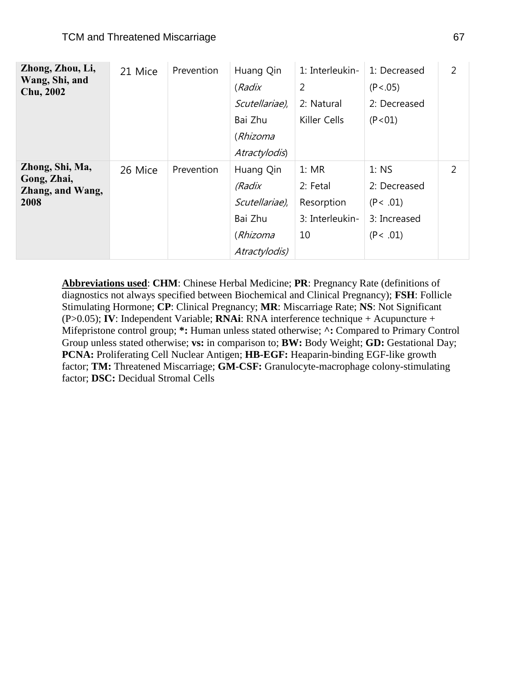| Zhong, Zhou, Li,                   | 21 Mice | Prevention | Huang Qin      | 1: Interleukin- | 1: Decreased | 2 |
|------------------------------------|---------|------------|----------------|-----------------|--------------|---|
| Wang, Shi, and<br><b>Chu, 2002</b> |         |            | (Radix         | 2               | (P < .05)    |   |
|                                    |         |            | Scutellariae), | 2: Natural      | 2: Decreased |   |
|                                    |         |            | Bai Zhu        | Killer Cells    | (P < 01)     |   |
|                                    |         |            | (Rhizoma       |                 |              |   |
|                                    |         |            | Atractylodis)  |                 |              |   |
| Zhong, Shi, Ma,                    | 26 Mice | Prevention | Huang Qin      | 1:MR            | $1:$ NS      | 2 |
| Gong, Zhai,<br>Zhang, and Wang,    |         |            | (Radix         | 2: Fetal        | 2: Decreased |   |
| 2008                               |         |            | Scutellariae), | Resorption      | (P< .01)     |   |
|                                    |         |            | Bai Zhu        | 3: Interleukin- | 3: Increased |   |
|                                    |         |            | (Rhizoma       | 10              | (P < .01)    |   |
|                                    |         |            | Atractylodis)  |                 |              |   |

**Abbreviations used**: **CHM**: Chinese Herbal Medicine; **PR**: Pregnancy Rate (definitions of diagnostics not always specified between Biochemical and Clinical Pregnancy); **FSH**: Follicle Stimulating Hormone; **CP**: Clinical Pregnancy; **MR**: Miscarriage Rate; **NS**: Not Significant (P>0.05); **IV**: Independent Variable; **RNAi**: RNA interference technique + Acupuncture + Mifepristone control group; **\*:** Human unless stated otherwise; **^:** Compared to Primary Control Group unless stated otherwise; **vs:** in comparison to; **BW:** Body Weight; **GD:** Gestational Day; **PCNA:** Proliferating Cell Nuclear Antigen; **HB-EGF:** Heaparin-binding EGF-like growth factor; **TM:** Threatened Miscarriage; **GM-CSF:** Granulocyte-macrophage colony-stimulating factor; **DSC:** Decidual Stromal Cells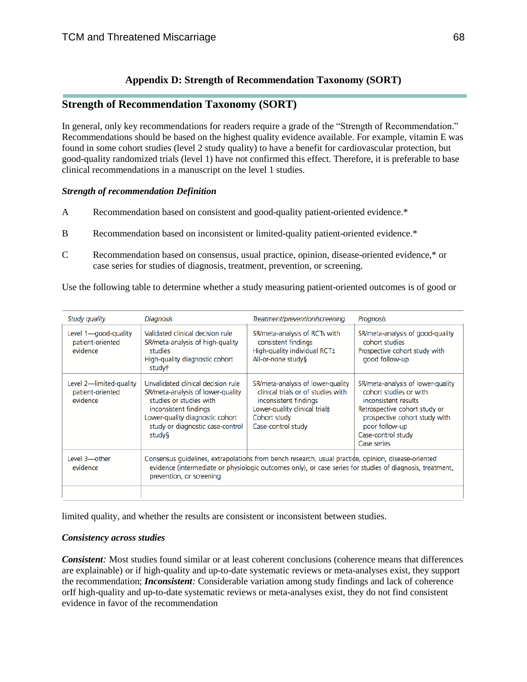### **Appendix D: Strength of Recommendation Taxonomy (SORT)**

### **Strength of Recommendation Taxonomy (SORT)**

In general, only key recommendations for readers require a grade of the "Strength of Recommendation." Recommendations should be based on the highest quality evidence available. For example, vitamin E was found in some cohort studies (level 2 study quality) to have a benefit for cardiovascular protection, but good-quality randomized trials (level 1) have not confirmed this effect. Therefore, it is preferable to base clinical recommendations in a manuscript on the level 1 studies.

### *Strength of recommendation Definition*

- A Recommendation based on consistent and good-quality patient-oriented evidence.\*
- B Recommendation based on inconsistent or limited-quality patient-oriented evidence.\*
- C Recommendation based on consensus, usual practice, opinion, disease-oriented evidence,\* or case series for studies of diagnosis, treatment, prevention, or screening.

Use the following table to determine whether a study measuring patient-oriented outcomes is of good or

| Study quality                                           | <b>Diagnosis</b>                                                                                                                                                                                                                             | Treatment/prevention/screening                                                                                                                                          | Prognosis                                                                                                                                                                                                    |  |  |
|---------------------------------------------------------|----------------------------------------------------------------------------------------------------------------------------------------------------------------------------------------------------------------------------------------------|-------------------------------------------------------------------------------------------------------------------------------------------------------------------------|--------------------------------------------------------------------------------------------------------------------------------------------------------------------------------------------------------------|--|--|
| Level 1-good-quality<br>patient-oriented<br>evidence    | Validated clinical decision rule<br>SR/meta-analysis of high-quality<br>studies<br>High-quality diagnostic cohort<br>study <sup>†</sup>                                                                                                      | SR/meta-analysis of RCTs with<br>consistent findings<br>High-quality individual RCT:<br>All-or-none study§                                                              | SR/meta-analysis of good-quality<br>cohort studies<br>Prospective cohort study with<br>good follow-up                                                                                                        |  |  |
| Level 2-limited-quality<br>patient-oriented<br>evidence | Unvalidated clinical decision rule<br>SR/meta-analysis of lower-quality<br>studies or studies with<br>inconsistent findings<br>Lower-quality diagnostic cohort<br>study or diagnostic case-control<br>study§                                 | SR/meta-analysis of lower-quality<br>clinical trials or of studies with<br>inconsistent findings<br>Lower-quality clinical trial‡<br>Cohort study<br>Case-control study | SR/meta-analysis of lower-quality<br>cohort studies or with<br>inconsistent results<br>Retrospective cohort study or<br>prospective cohort study with<br>poor follow-up<br>Case-control study<br>Case series |  |  |
| Level 3-other<br>evidence                               | Consensus guidelines, extrapolations from bench research, usual practide, opinion, disease-oriented<br>evidence (intermediate or physiologic outcomes only), or case series for studies of diagnosis, treatment,<br>prevention, or screening |                                                                                                                                                                         |                                                                                                                                                                                                              |  |  |

limited quality, and whether the results are consistent or inconsistent between studies.

### *Consistency across studies*

*Consistent:* Most studies found similar or at least coherent conclusions (coherence means that differences are explainable) or if high-quality and up-to-date systematic reviews or meta-analyses exist, they support the recommendation; *Inconsistent:* Considerable variation among study findings and lack of coherence orIf high-quality and up-to-date systematic reviews or meta-analyses exist, they do not find consistent evidence in favor of the recommendation